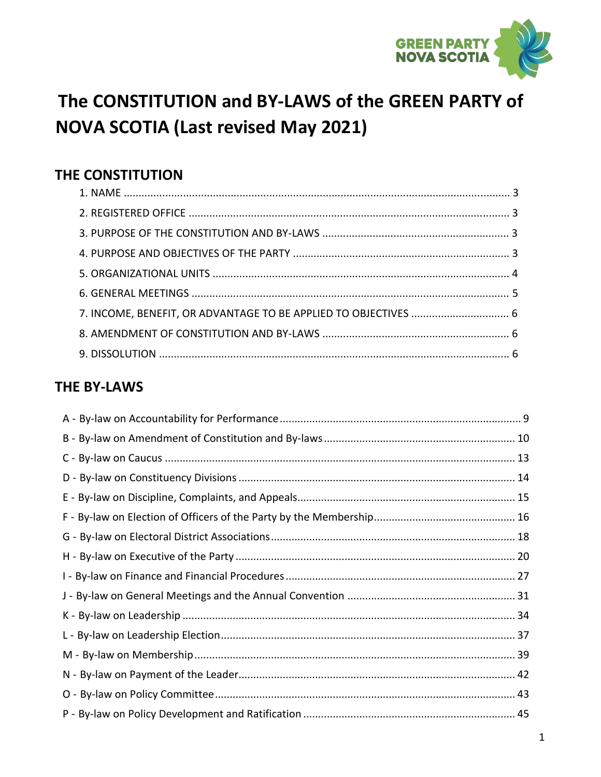

## The CONSTITUTION and BY-LAWS of the GREEN PARTY of **NOVA SCOTIA (Last revised May 2021)**

### THE CONSTITUTION

| 7. INCOME, BENEFIT, OR ADVANTAGE TO BE APPLIED TO OBJECTIVES  6 |  |
|-----------------------------------------------------------------|--|
|                                                                 |  |
|                                                                 |  |

### **THE BY-LAWS**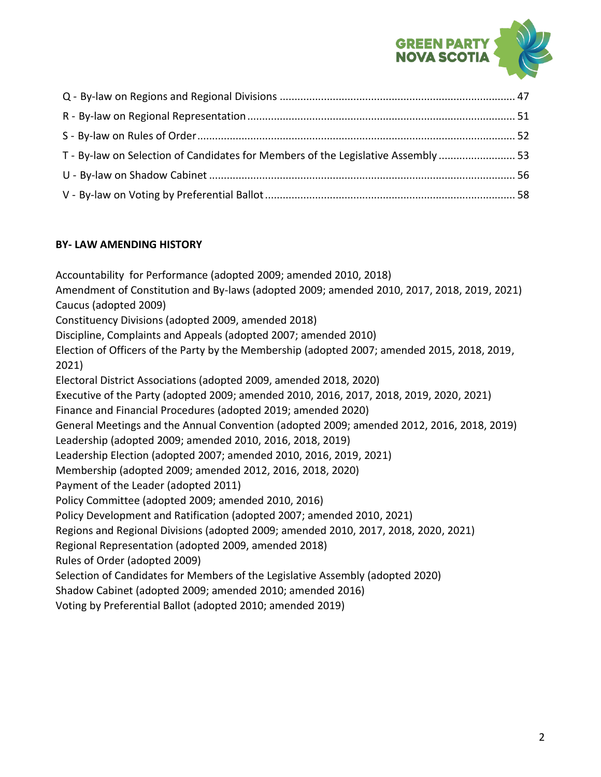

| T - By-law on Selection of Candidates for Members of the Legislative Assembly  53 |  |
|-----------------------------------------------------------------------------------|--|
|                                                                                   |  |
|                                                                                   |  |

#### **BY- LAW AMENDING HISTORY**

Accountability for Performance (adopted 2009; amended 2010, 2018) Amendment of Constitution and By-laws (adopted 2009; amended 2010, 2017, 2018, 2019, 2021) Caucus (adopted 2009) Constituency Divisions (adopted 2009, amended 2018) Discipline, Complaints and Appeals (adopted 2007; amended 2010) Election of Officers of the Party by the Membership (adopted 2007; amended 2015, 2018, 2019, 2021) Electoral District Associations (adopted 2009, amended 2018, 2020) Executive of the Party (adopted 2009; amended 2010, 2016, 2017, 2018, 2019, 2020, 2021) Finance and Financial Procedures (adopted 2019; amended 2020) General Meetings and the Annual Convention (adopted 2009; amended 2012, 2016, 2018, 2019) Leadership (adopted 2009; amended 2010, 2016, 2018, 2019) Leadership Election (adopted 2007; amended 2010, 2016, 2019, 2021) Membership (adopted 2009; amended 2012, 2016, 2018, 2020) Payment of the Leader (adopted 2011) Policy Committee (adopted 2009; amended 2010, 2016) Policy Development and Ratification (adopted 2007; amended 2010, 2021) Regions and Regional Divisions (adopted 2009; amended 2010, 2017, 2018, 2020, 2021) Regional Representation (adopted 2009, amended 2018) Rules of Order (adopted 2009) Selection of Candidates for Members of the Legislative Assembly (adopted 2020) Shadow Cabinet (adopted 2009; amended 2010; amended 2016) Voting by Preferential Ballot (adopted 2010; amended 2019)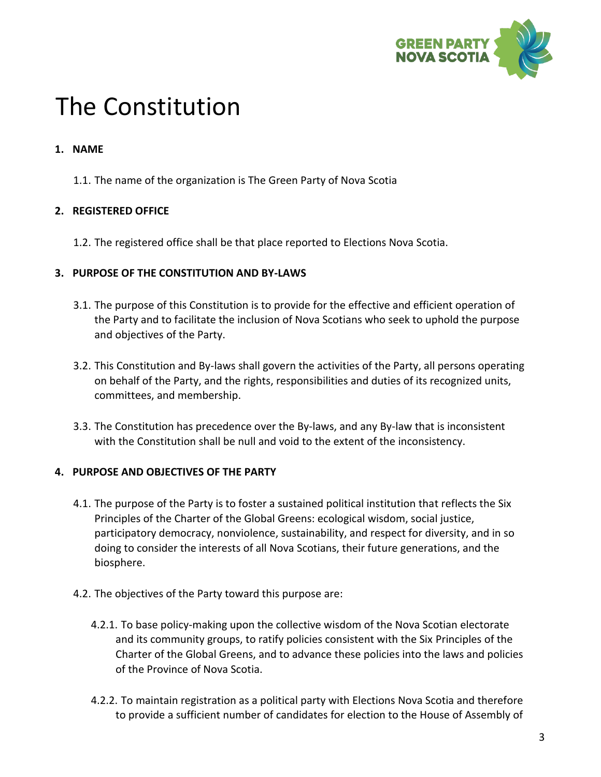

# The Constitution

#### **1. NAME**

1.1. The name of the organization is The Green Party of Nova Scotia

#### **2. REGISTERED OFFICE**

1.2. The registered office shall be that place reported to Elections Nova Scotia.

#### **3. PURPOSE OF THE CONSTITUTION AND BY-LAWS**

- 3.1. The purpose of this Constitution is to provide for the effective and efficient operation of the Party and to facilitate the inclusion of Nova Scotians who seek to uphold the purpose and objectives of the Party.
- 3.2. This Constitution and By-laws shall govern the activities of the Party, all persons operating on behalf of the Party, and the rights, responsibilities and duties of its recognized units, committees, and membership.
- 3.3. The Constitution has precedence over the By-laws, and any By-law that is inconsistent with the Constitution shall be null and void to the extent of the inconsistency.

#### **4. PURPOSE AND OBJECTIVES OF THE PARTY**

- 4.1. The purpose of the Party is to foster a sustained political institution that reflects the Six Principles of the Charter of the Global Greens: ecological wisdom, social justice, participatory democracy, nonviolence, sustainability, and respect for diversity, and in so doing to consider the interests of all Nova Scotians, their future generations, and the biosphere.
- 4.2. The objectives of the Party toward this purpose are:
	- 4.2.1. To base policy-making upon the collective wisdom of the Nova Scotian electorate and its community groups, to ratify policies consistent with the Six Principles of the Charter of the Global Greens, and to advance these policies into the laws and policies of the Province of Nova Scotia.
	- 4.2.2. To maintain registration as a political party with Elections Nova Scotia and therefore to provide a sufficient number of candidates for election to the House of Assembly of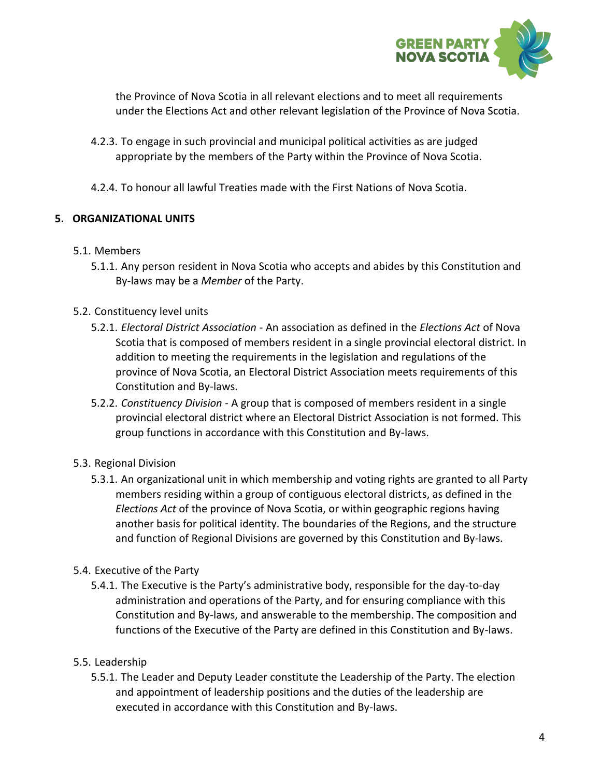

the Province of Nova Scotia in all relevant elections and to meet all requirements under the Elections Act and other relevant legislation of the Province of Nova Scotia.

- 4.2.3. To engage in such provincial and municipal political activities as are judged appropriate by the members of the Party within the Province of Nova Scotia.
- 4.2.4. To honour all lawful Treaties made with the First Nations of Nova Scotia.

#### **5. ORGANIZATIONAL UNITS**

#### 5.1. Members

- 5.1.1. Any person resident in Nova Scotia who accepts and abides by this Constitution and By-laws may be a *Member* of the Party.
- 5.2. Constituency level units
	- 5.2.1. *Electoral District Association* An association as defined in the *Elections Act* of Nova Scotia that is composed of members resident in a single provincial electoral district. In addition to meeting the requirements in the legislation and regulations of the province of Nova Scotia, an Electoral District Association meets requirements of this Constitution and By-laws.
	- 5.2.2. *Constituency Division* A group that is composed of members resident in a single provincial electoral district where an Electoral District Association is not formed. This group functions in accordance with this Constitution and By-laws.

#### 5.3. Regional Division

5.3.1. An organizational unit in which membership and voting rights are granted to all Party members residing within a group of contiguous electoral districts, as defined in the *Elections Act* of the province of Nova Scotia, or within geographic regions having another basis for political identity. The boundaries of the Regions, and the structure and function of Regional Divisions are governed by this Constitution and By-laws.

#### 5.4. Executive of the Party

5.4.1. The Executive is the Party's administrative body, responsible for the day-to-day administration and operations of the Party, and for ensuring compliance with this Constitution and By-laws, and answerable to the membership. The composition and functions of the Executive of the Party are defined in this Constitution and By-laws.

#### 5.5. Leadership

5.5.1. The Leader and Deputy Leader constitute the Leadership of the Party. The election and appointment of leadership positions and the duties of the leadership are executed in accordance with this Constitution and By-laws.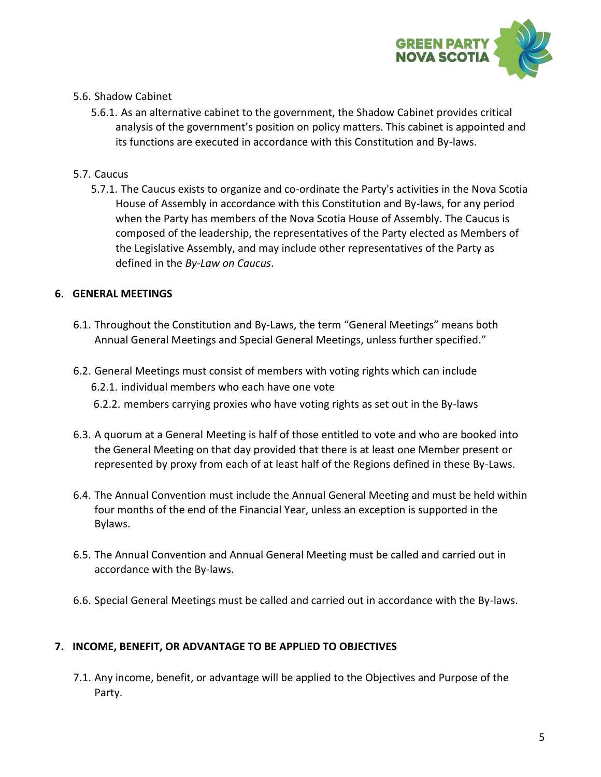

#### 5.6. Shadow Cabinet

5.6.1. As an alternative cabinet to the government, the Shadow Cabinet provides critical analysis of the government's position on policy matters. This cabinet is appointed and its functions are executed in accordance with this Constitution and By-laws.

#### 5.7. Caucus

5.7.1. The Caucus exists to organize and co-ordinate the Party's activities in the Nova Scotia House of Assembly in accordance with this Constitution and By-laws, for any period when the Party has members of the Nova Scotia House of Assembly. The Caucus is composed of the leadership, the representatives of the Party elected as Members of the Legislative Assembly, and may include other representatives of the Party as defined in the *By-Law on Caucus*.

#### **6. GENERAL MEETINGS**

- 6.1. Throughout the Constitution and By-Laws, the term "General Meetings" means both Annual General Meetings and Special General Meetings, unless further specified."
- 6.2. General Meetings must consist of members with voting rights which can include 6.2.1. individual members who each have one vote
	- 6.2.2. members carrying proxies who have voting rights as set out in the By-laws
- 6.3. A quorum at a General Meeting is half of those entitled to vote and who are booked into the General Meeting on that day provided that there is at least one Member present or represented by proxy from each of at least half of the Regions defined in these By-Laws.
- 6.4. The Annual Convention must include the Annual General Meeting and must be held within four months of the end of the Financial Year, unless an exception is supported in the Bylaws.
- 6.5. The Annual Convention and Annual General Meeting must be called and carried out in accordance with the By-laws.
- 6.6. Special General Meetings must be called and carried out in accordance with the By-laws.

#### **7. INCOME, BENEFIT, OR ADVANTAGE TO BE APPLIED TO OBJECTIVES**

7.1. Any income, benefit, or advantage will be applied to the Objectives and Purpose of the Party.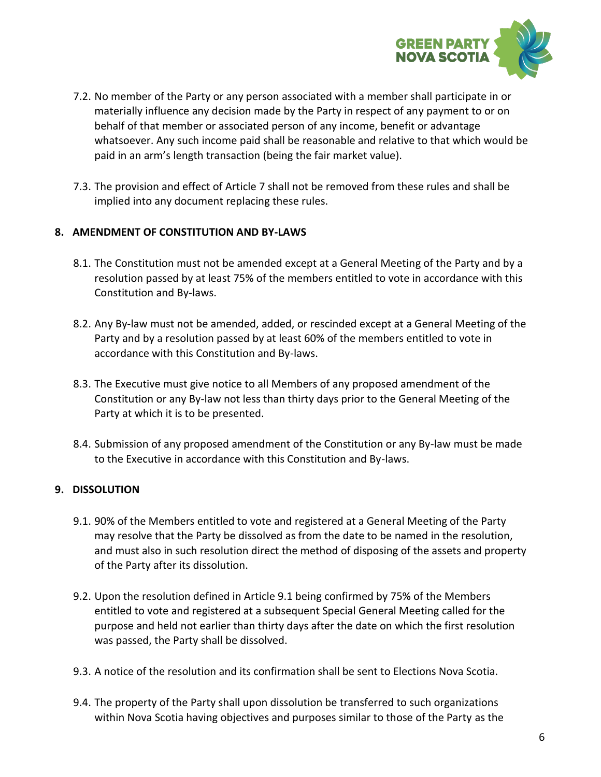

- 7.2. No member of the Party or any person associated with a member shall participate in or materially influence any decision made by the Party in respect of any payment to or on behalf of that member or associated person of any income, benefit or advantage whatsoever. Any such income paid shall be reasonable and relative to that which would be paid in an arm's length transaction (being the fair market value).
- 7.3. The provision and effect of Article 7 shall not be removed from these rules and shall be implied into any document replacing these rules.

#### **8. AMENDMENT OF CONSTITUTION AND BY-LAWS**

- 8.1. The Constitution must not be amended except at a General Meeting of the Party and by a resolution passed by at least 75% of the members entitled to vote in accordance with this Constitution and By-laws.
- 8.2. Any By-law must not be amended, added, or rescinded except at a General Meeting of the Party and by a resolution passed by at least 60% of the members entitled to vote in accordance with this Constitution and By-laws.
- 8.3. The Executive must give notice to all Members of any proposed amendment of the Constitution or any By-law not less than thirty days prior to the General Meeting of the Party at which it is to be presented.
- 8.4. Submission of any proposed amendment of the Constitution or any By-law must be made to the Executive in accordance with this Constitution and By-laws.

#### **9. DISSOLUTION**

- 9.1. 90% of the Members entitled to vote and registered at a General Meeting of the Party may resolve that the Party be dissolved as from the date to be named in the resolution, and must also in such resolution direct the method of disposing of the assets and property of the Party after its dissolution.
- 9.2. Upon the resolution defined in Article 9.1 being confirmed by 75% of the Members entitled to vote and registered at a subsequent Special General Meeting called for the purpose and held not earlier than thirty days after the date on which the first resolution was passed, the Party shall be dissolved.
- 9.3. A notice of the resolution and its confirmation shall be sent to Elections Nova Scotia.
- 9.4. The property of the Party shall upon dissolution be transferred to such organizations within Nova Scotia having objectives and purposes similar to those of the Party as the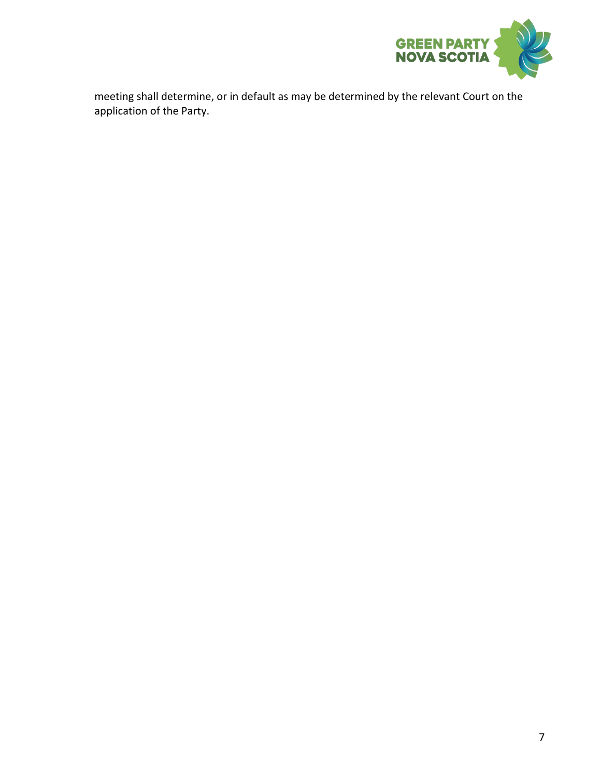

meeting shall determine, or in default as may be determined by the relevant Court on the application of the Party.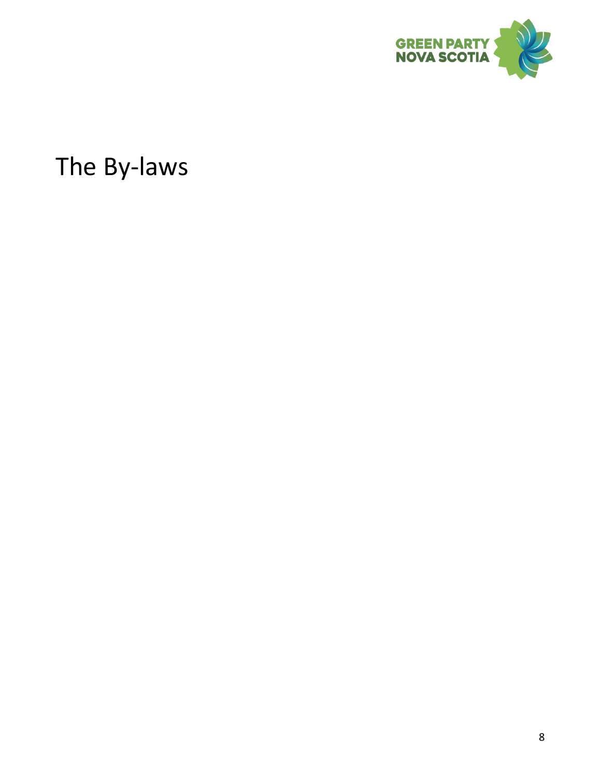

The By-laws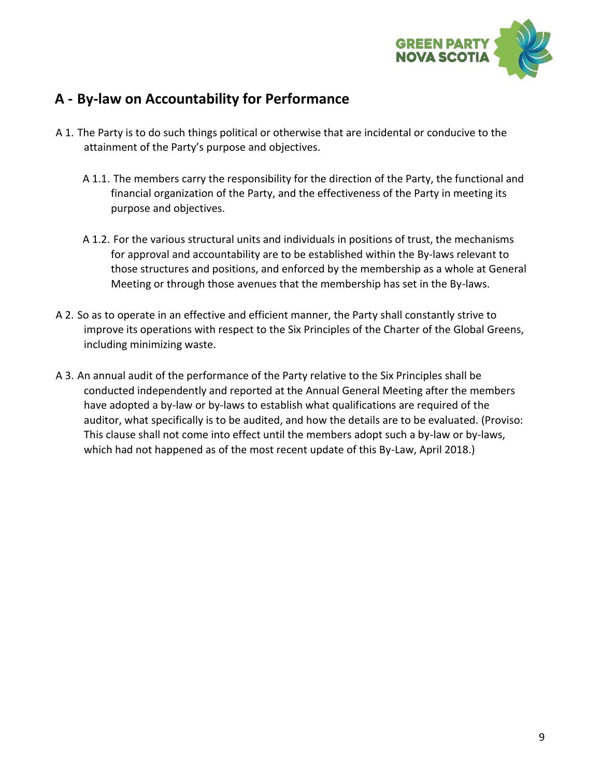

### <span id="page-8-0"></span>**A - By-law on Accountability for Performance**

- A 1. The Party is to do such things political or otherwise that are incidental or conducive to the attainment of the Party's purpose and objectives.
	- A 1.1. The members carry the responsibility for the direction of the Party, the functional and financial organization of the Party, and the effectiveness of the Party in meeting its purpose and objectives.
	- A 1.2. For the various structural units and individuals in positions of trust, the mechanisms for approval and accountability are to be established within the By-laws relevant to those structures and positions, and enforced by the membership as a whole at General Meeting or through those avenues that the membership has set in the By-laws.
- A 2. So as to operate in an effective and efficient manner, the Party shall constantly strive to improve its operations with respect to the Six Principles of the Charter of the Global Greens, including minimizing waste.
- A 3. An annual audit of the performance of the Party relative to the Six Principles shall be conducted independently and reported at the Annual General Meeting after the members have adopted a by-law or by-laws to establish what qualifications are required of the auditor, what specifically is to be audited, and how the details are to be evaluated. (Proviso: This clause shall not come into effect until the members adopt such a by-law or by-laws, which had not happened as of the most recent update of this By-Law, April 2018.)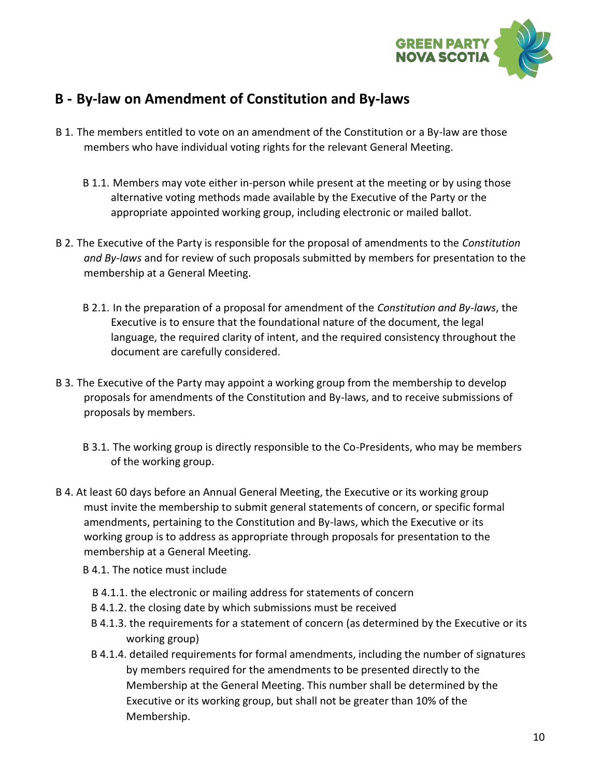

### <span id="page-9-0"></span>**B - By-law on Amendment of Constitution and By-laws**

- B 1. The members entitled to vote on an amendment of the Constitution or a By-law are those members who have individual voting rights for the relevant General Meeting.
	- B 1.1. Members may vote either in-person while present at the meeting or by using those alternative voting methods made available by the Executive of the Party or the appropriate appointed working group, including electronic or mailed ballot.
- B 2. The Executive of the Party is responsible for the proposal of amendments to the *Constitution and By-laws* and for review of such proposals submitted by members for presentation to the membership at a General Meeting.
	- B 2.1. In the preparation of a proposal for amendment of the *Constitution and By-laws*, the Executive is to ensure that the foundational nature of the document, the legal language, the required clarity of intent, and the required consistency throughout the document are carefully considered.
- B 3. The Executive of the Party may appoint a working group from the membership to develop proposals for amendments of the Constitution and By-laws, and to receive submissions of proposals by members.
	- B 3.1. The working group is directly responsible to the Co-Presidents, who may be members of the working group.
- B 4. At least 60 days before an Annual General Meeting, the Executive or its working group must invite the membership to submit general statements of concern, or specific formal amendments, pertaining to the Constitution and By-laws, which the Executive or its working group is to address as appropriate through proposals for presentation to the membership at a General Meeting.
	- B 4.1. The notice must include
		- B 4.1.1. the electronic or mailing address for statements of concern
		- B 4.1.2. the closing date by which submissions must be received
		- B 4.1.3. the requirements for a statement of concern (as determined by the Executive or its working group)
		- B 4.1.4. detailed requirements for formal amendments, including the number of signatures by members required for the amendments to be presented directly to the Membership at the General Meeting. This number shall be determined by the Executive or its working group, but shall not be greater than 10% of the Membership.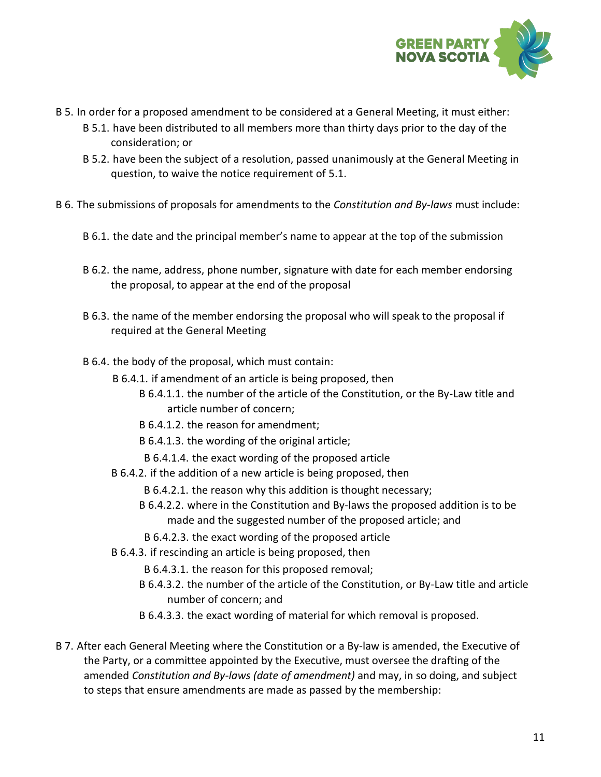

- B 5. In order for a proposed amendment to be considered at a General Meeting, it must either:
	- B 5.1. have been distributed to all members more than thirty days prior to the day of the consideration; or
	- B 5.2. have been the subject of a resolution, passed unanimously at the General Meeting in question, to waive the notice requirement of 5.1.
- B 6. The submissions of proposals for amendments to the *Constitution and By-laws* must include:
	- B 6.1. the date and the principal member's name to appear at the top of the submission
	- B 6.2. the name, address, phone number, signature with date for each member endorsing the proposal, to appear at the end of the proposal
	- B 6.3. the name of the member endorsing the proposal who will speak to the proposal if required at the General Meeting
	- B 6.4. the body of the proposal, which must contain:
		- B 6.4.1. if amendment of an article is being proposed, then
			- B 6.4.1.1. the number of the article of the Constitution, or the By-Law title and article number of concern;
			- B 6.4.1.2. the reason for amendment;
			- B 6.4.1.3. the wording of the original article;
			- B 6.4.1.4. the exact wording of the proposed article
		- B 6.4.2. if the addition of a new article is being proposed, then
			- B 6.4.2.1. the reason why this addition is thought necessary;
			- B 6.4.2.2. where in the Constitution and By-laws the proposed addition is to be made and the suggested number of the proposed article; and
			- B 6.4.2.3. the exact wording of the proposed article
		- B 6.4.3. if rescinding an article is being proposed, then
			- B 6.4.3.1. the reason for this proposed removal;
			- B 6.4.3.2. the number of the article of the Constitution, or By-Law title and article number of concern; and
			- B 6.4.3.3. the exact wording of material for which removal is proposed.
- B 7. After each General Meeting where the Constitution or a By-law is amended, the Executive of the Party, or a committee appointed by the Executive, must oversee the drafting of the amended *Constitution and By-laws (date of amendment)* and may, in so doing, and subject to steps that ensure amendments are made as passed by the membership: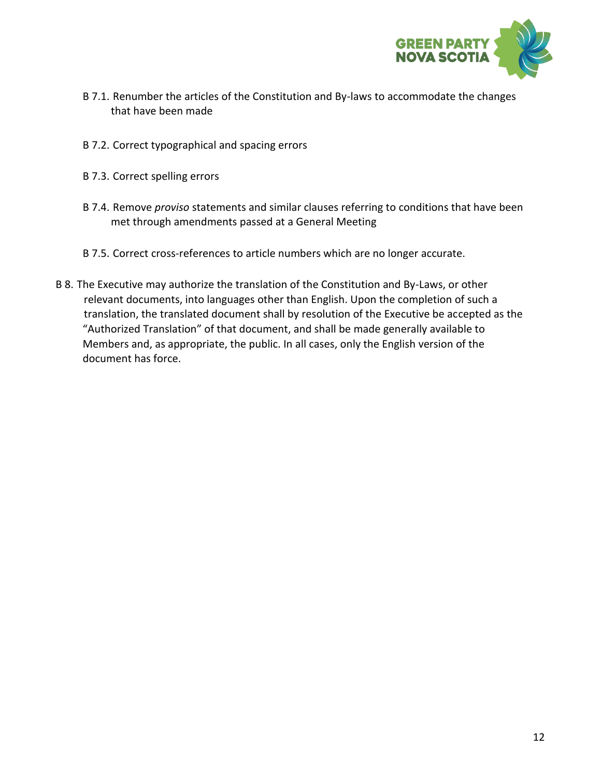

- B 7.1. Renumber the articles of the Constitution and By-laws to accommodate the changes that have been made
- B 7.2. Correct typographical and spacing errors
- B 7.3. Correct spelling errors
- B 7.4. Remove *proviso* statements and similar clauses referring to conditions that have been met through amendments passed at a General Meeting
- B 7.5. Correct cross-references to article numbers which are no longer accurate.
- B 8. The Executive may authorize the translation of the Constitution and By-Laws, or other relevant documents, into languages other than English. Upon the completion of such a translation, the translated document shall by resolution of the Executive be accepted as the "Authorized Translation" of that document, and shall be made generally available to Members and, as appropriate, the public. In all cases, only the English version of the document has force.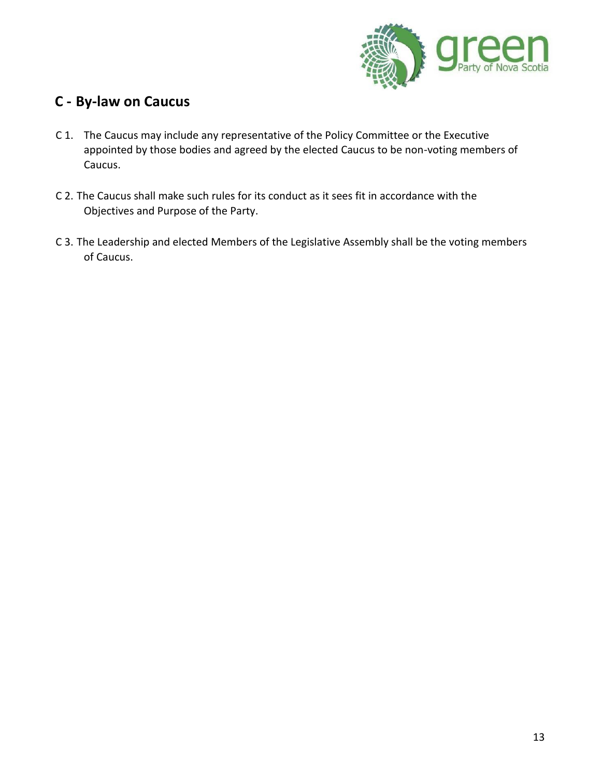

### <span id="page-12-0"></span>**C - By-law on Caucus**

- C 1. The Caucus may include any representative of the Policy Committee or the Executive appointed by those bodies and agreed by the elected Caucus to be non-voting members of Caucus.
- C 2. The Caucus shall make such rules for its conduct as it sees fit in accordance with the Objectives and Purpose of the Party.
- C 3. The Leadership and elected Members of the Legislative Assembly shall be the voting members of Caucus.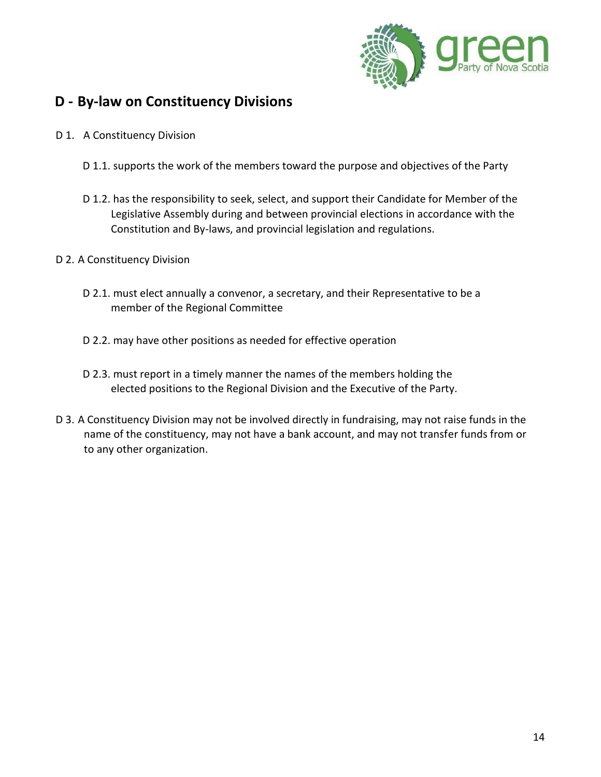

### <span id="page-13-0"></span>**D - By-law on Constituency Divisions**

- D 1. A Constituency Division
	- D 1.1. supports the work of the members toward the purpose and objectives of the Party
	- D 1.2. has the responsibility to seek, select, and support their Candidate for Member of the Legislative Assembly during and between provincial elections in accordance with the Constitution and By-laws, and provincial legislation and regulations.

#### D 2. A Constituency Division

- D 2.1. must elect annually a convenor, a secretary, and their Representative to be a member of the Regional Committee
- D 2.2. may have other positions as needed for effective operation
- D 2.3. must report in a timely manner the names of the members holding the elected positions to the Regional Division and the Executive of the Party.
- D 3. A Constituency Division may not be involved directly in fundraising, may not raise funds in the name of the constituency, may not have a bank account, and may not transfer funds from or to any other organization.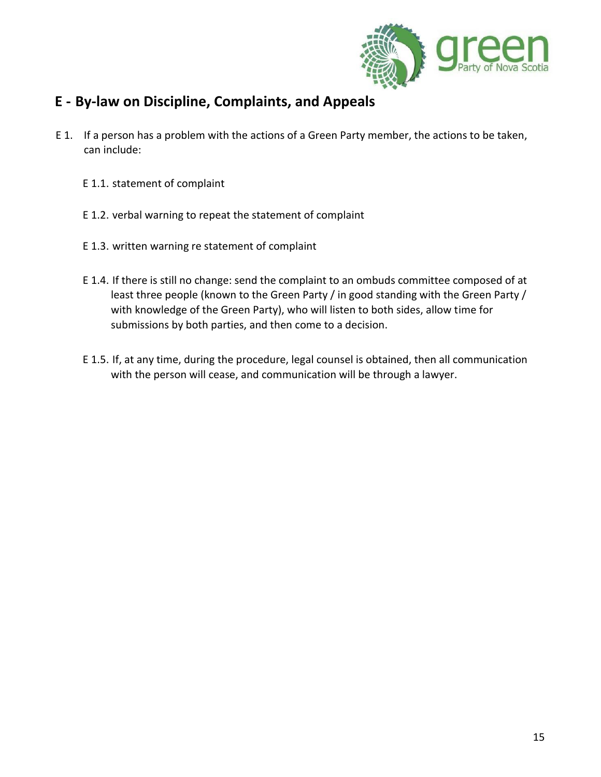

### <span id="page-14-0"></span>**E - By-law on Discipline, Complaints, and Appeals**

- E 1. If a person has a problem with the actions of a Green Party member, the actions to be taken, can include:
	- E 1.1. statement of complaint
	- E 1.2. verbal warning to repeat the statement of complaint
	- E 1.3. written warning re statement of complaint
	- E 1.4. If there is still no change: send the complaint to an ombuds committee composed of at least three people (known to the Green Party / in good standing with the Green Party / with knowledge of the Green Party), who will listen to both sides, allow time for submissions by both parties, and then come to a decision.
	- E 1.5. If, at any time, during the procedure, legal counsel is obtained, then all communication with the person will cease, and communication will be through a lawyer.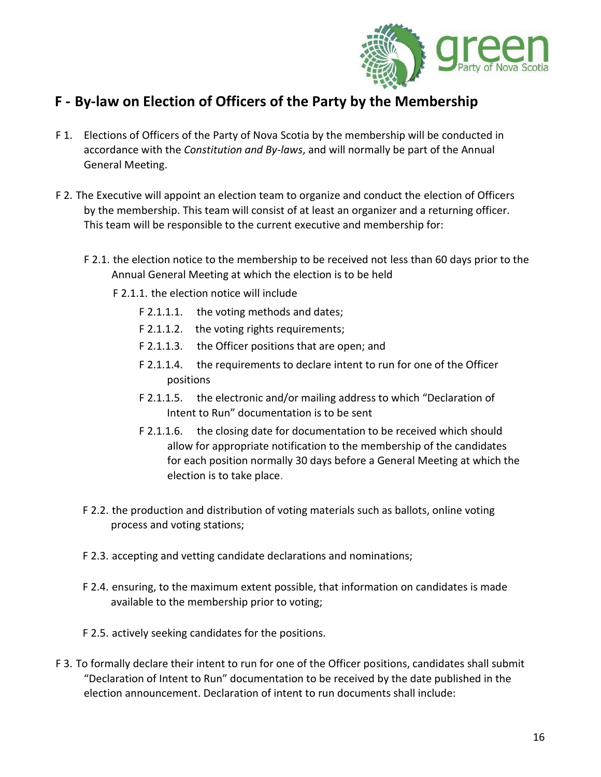

### <span id="page-15-0"></span>**F - By-law on Election of Officers of the Party by the Membership**

- F 1. Elections of Officers of the Party of Nova Scotia by the membership will be conducted in accordance with the *Constitution and By-laws*, and will normally be part of the Annual General Meeting.
- F 2. The Executive will appoint an election team to organize and conduct the election of Officers by the membership. This team will consist of at least an organizer and a returning officer. This team will be responsible to the current executive and membership for:
	- F 2.1. the election notice to the membership to be received not less than 60 days prior to the Annual General Meeting at which the election is to be held
		- F 2.1.1. the election notice will include
			- F 2.1.1.1. the voting methods and dates;
			- F 2.1.1.2. the voting rights requirements;
			- F 2.1.1.3. the Officer positions that are open; and
			- F 2.1.1.4. the requirements to declare intent to run for one of the Officer positions
			- F 2.1.1.5. the electronic and/or mailing address to which "Declaration of Intent to Run" documentation is to be sent
			- F 2.1.1.6. the closing date for documentation to be received which should allow for appropriate notification to the membership of the candidates for each position normally 30 days before a General Meeting at which the election is to take place.
	- F 2.2. the production and distribution of voting materials such as ballots, online voting process and voting stations;
	- F 2.3. accepting and vetting candidate declarations and nominations;
	- F 2.4. ensuring, to the maximum extent possible, that information on candidates is made available to the membership prior to voting;
	- F 2.5. actively seeking candidates for the positions.
- F 3. To formally declare their intent to run for one of the Officer positions, candidates shall submit "Declaration of Intent to Run" documentation to be received by the date published in the election announcement. Declaration of intent to run documents shall include: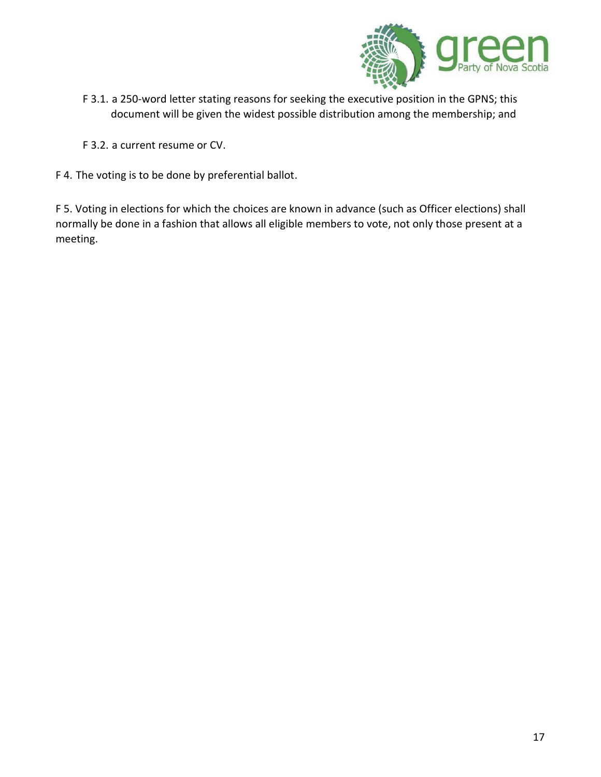

- F 3.1. a 250-word letter stating reasons for seeking the executive position in the GPNS; this document will be given the widest possible distribution among the membership; and
- F 3.2. a current resume or CV.
- F 4. The voting is to be done by preferential ballot.

F 5. Voting in elections for which the choices are known in advance (such as Officer elections) shall normally be done in a fashion that allows all eligible members to vote, not only those present at a meeting.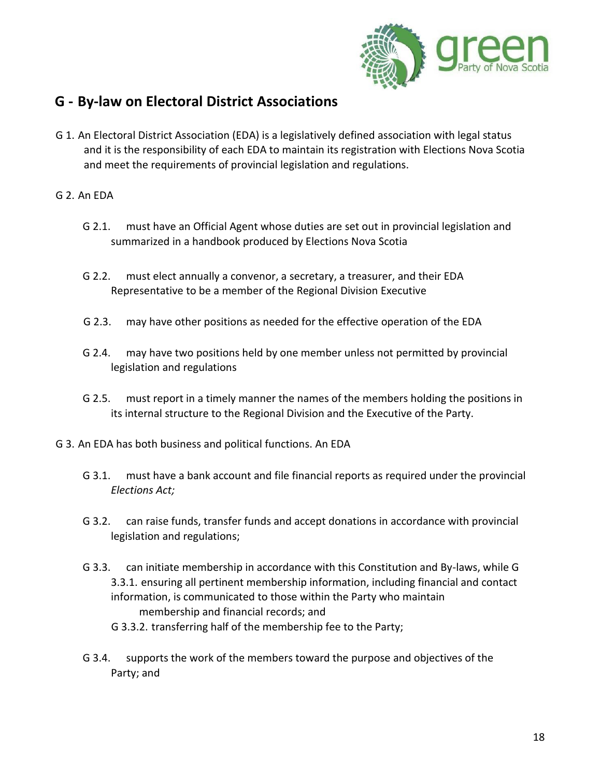

### <span id="page-17-0"></span>**G - By-law on Electoral District Associations**

G 1. An Electoral District Association (EDA) is a legislatively defined association with legal status and it is the responsibility of each EDA to maintain its registration with Elections Nova Scotia and meet the requirements of provincial legislation and regulations.

#### G 2. An EDA

- G 2.1. must have an Official Agent whose duties are set out in provincial legislation and summarized in a handbook produced by Elections Nova Scotia
- G 2.2. must elect annually a convenor, a secretary, a treasurer, and their EDA Representative to be a member of the Regional Division Executive
- G 2.3. may have other positions as needed for the effective operation of the EDA
- G 2.4. may have two positions held by one member unless not permitted by provincial legislation and regulations
- G 2.5. must report in a timely manner the names of the members holding the positions in its internal structure to the Regional Division and the Executive of the Party.
- G 3. An EDA has both business and political functions. An EDA
	- G 3.1. must have a bank account and file financial reports as required under the provincial *Elections Act;*
	- G 3.2. can raise funds, transfer funds and accept donations in accordance with provincial legislation and regulations;
	- G 3.3. can initiate membership in accordance with this Constitution and By-laws, while G 3.3.1. ensuring all pertinent membership information, including financial and contact information, is communicated to those within the Party who maintain membership and financial records; and
		- G 3.3.2. transferring half of the membership fee to the Party;
	- G 3.4. supports the work of the members toward the purpose and objectives of the Party; and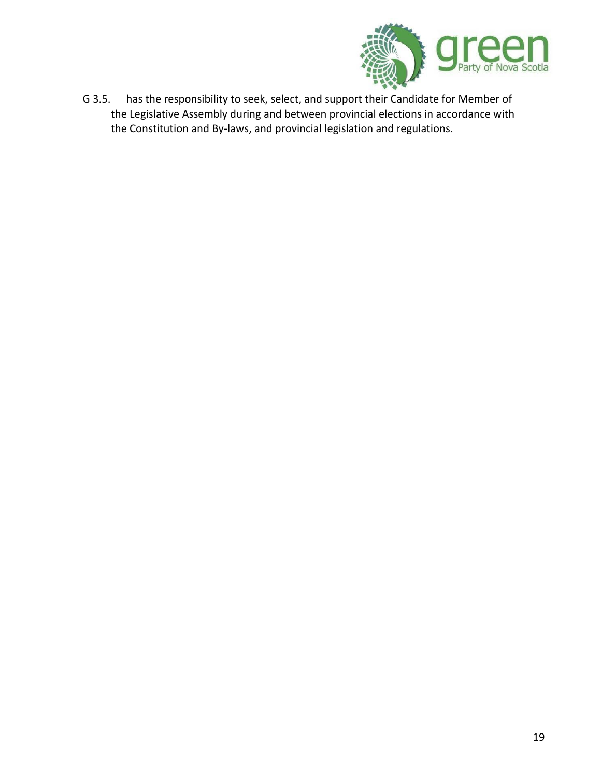

G 3.5. has the responsibility to seek, select, and support their Candidate for Member of the Legislative Assembly during and between provincial elections in accordance with the Constitution and By-laws, and provincial legislation and regulations.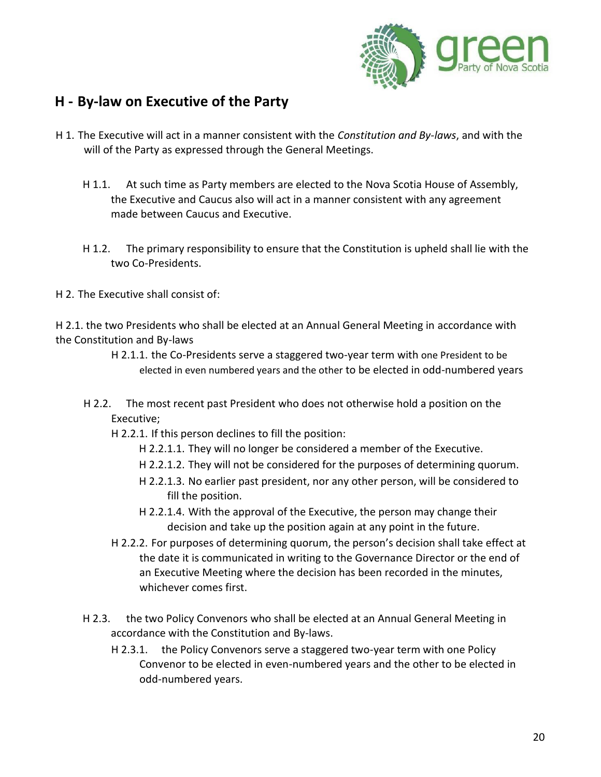

### <span id="page-19-0"></span>**H - By-law on Executive of the Party**

- H 1. The Executive will act in a manner consistent with the *Constitution and By-laws*, and with the will of the Party as expressed through the General Meetings.
	- H 1.1. At such time as Party members are elected to the Nova Scotia House of Assembly, the Executive and Caucus also will act in a manner consistent with any agreement made between Caucus and Executive.
	- H 1.2. The primary responsibility to ensure that the Constitution is upheld shall lie with the two Co-Presidents.
- H 2. The Executive shall consist of:

H 2.1. the two Presidents who shall be elected at an Annual General Meeting in accordance with the Constitution and By-laws

- H 2.1.1. the Co-Presidents serve a staggered two-year term with one President to be elected in even numbered years and the other to be elected in odd-numbered years
- H 2.2. The most recent past President who does not otherwise hold a position on the Executive;
	- H 2.2.1. If this person declines to fill the position:
		- H 2.2.1.1. They will no longer be considered a member of the Executive.
		- H 2.2.1.2. They will not be considered for the purposes of determining quorum.
		- H 2.2.1.3. No earlier past president, nor any other person, will be considered to fill the position.
		- H 2.2.1.4. With the approval of the Executive, the person may change their decision and take up the position again at any point in the future.
	- H 2.2.2. For purposes of determining quorum, the person's decision shall take effect at the date it is communicated in writing to the Governance Director or the end of an Executive Meeting where the decision has been recorded in the minutes, whichever comes first.
- H 2.3. the two Policy Convenors who shall be elected at an Annual General Meeting in accordance with the Constitution and By-laws.
	- H 2.3.1. the Policy Convenors serve a staggered two-year term with one Policy Convenor to be elected in even-numbered years and the other to be elected in odd-numbered years.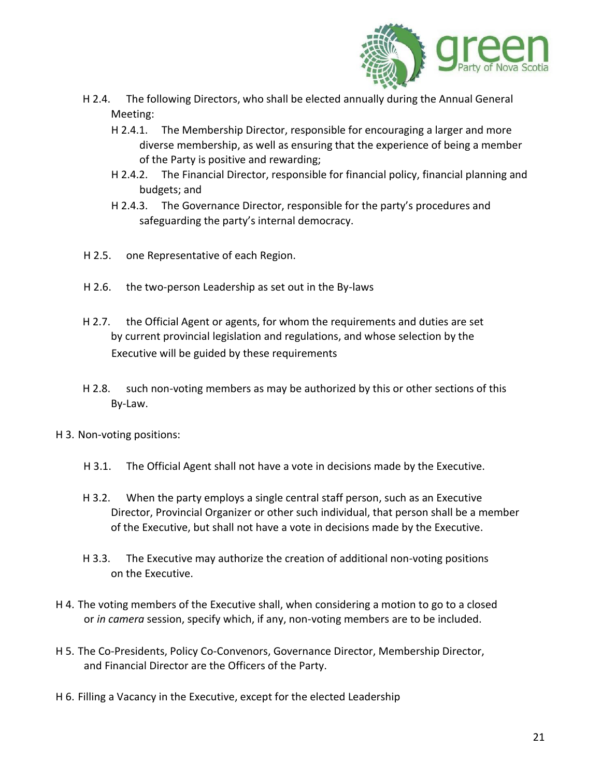

- H 2.4. The following Directors, who shall be elected annually during the Annual General Meeting:
	- H 2.4.1. The Membership Director, responsible for encouraging a larger and more diverse membership, as well as ensuring that the experience of being a member of the Party is positive and rewarding;
	- H 2.4.2. The Financial Director, responsible for financial policy, financial planning and budgets; and
	- H 2.4.3. The Governance Director, responsible for the party's procedures and safeguarding the party's internal democracy.
- H 2.5. one Representative of each Region.
- H 2.6. the two-person Leadership as set out in the By-laws
- H 2.7. the Official Agent or agents, for whom the requirements and duties are set by current provincial legislation and regulations, and whose selection by the Executive will be guided by these requirements
- H 2.8. such non-voting members as may be authorized by this or other sections of this By-Law.
- H 3. Non-voting positions:
	- H 3.1. The Official Agent shall not have a vote in decisions made by the Executive.
	- H 3.2. When the party employs a single central staff person, such as an Executive Director, Provincial Organizer or other such individual, that person shall be a member of the Executive, but shall not have a vote in decisions made by the Executive.
	- H 3.3. The Executive may authorize the creation of additional non-voting positions on the Executive.
- H 4. The voting members of the Executive shall, when considering a motion to go to a closed or *in camera* session, specify which, if any, non-voting members are to be included.
- H 5. The Co-Presidents, Policy Co-Convenors, Governance Director, Membership Director, and Financial Director are the Officers of the Party.
- H 6. Filling a Vacancy in the Executive, except for the elected Leadership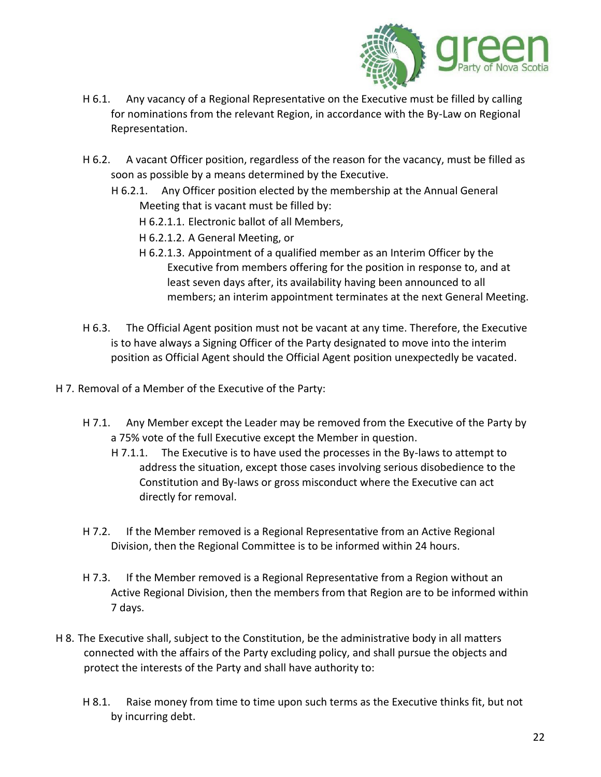

- H 6.1. Any vacancy of a Regional Representative on the Executive must be filled by calling for nominations from the relevant Region, in accordance with the By-Law on Regional Representation.
- H 6.2. A vacant Officer position, regardless of the reason for the vacancy, must be filled as soon as possible by a means determined by the Executive.
	- H 6.2.1. Any Officer position elected by the membership at the Annual General Meeting that is vacant must be filled by:
		- H 6.2.1.1. Electronic ballot of all Members,
		- H 6.2.1.2. A General Meeting, or
		- H 6.2.1.3. Appointment of a qualified member as an Interim Officer by the Executive from members offering for the position in response to, and at least seven days after, its availability having been announced to all members; an interim appointment terminates at the next General Meeting.
- H 6.3. The Official Agent position must not be vacant at any time. Therefore, the Executive is to have always a Signing Officer of the Party designated to move into the interim position as Official Agent should the Official Agent position unexpectedly be vacated.
- H 7. Removal of a Member of the Executive of the Party:
	- H 7.1. Any Member except the Leader may be removed from the Executive of the Party by a 75% vote of the full Executive except the Member in question.
		- H 7.1.1. The Executive is to have used the processes in the By-laws to attempt to address the situation, except those cases involving serious disobedience to the Constitution and By-laws or gross misconduct where the Executive can act directly for removal.
	- H 7.2. If the Member removed is a Regional Representative from an Active Regional Division, then the Regional Committee is to be informed within 24 hours.
	- H 7.3. If the Member removed is a Regional Representative from a Region without an Active Regional Division, then the members from that Region are to be informed within 7 days.
- H 8. The Executive shall, subject to the Constitution, be the administrative body in all matters connected with the affairs of the Party excluding policy, and shall pursue the objects and protect the interests of the Party and shall have authority to:
	- H 8.1. Raise money from time to time upon such terms as the Executive thinks fit, but not by incurring debt.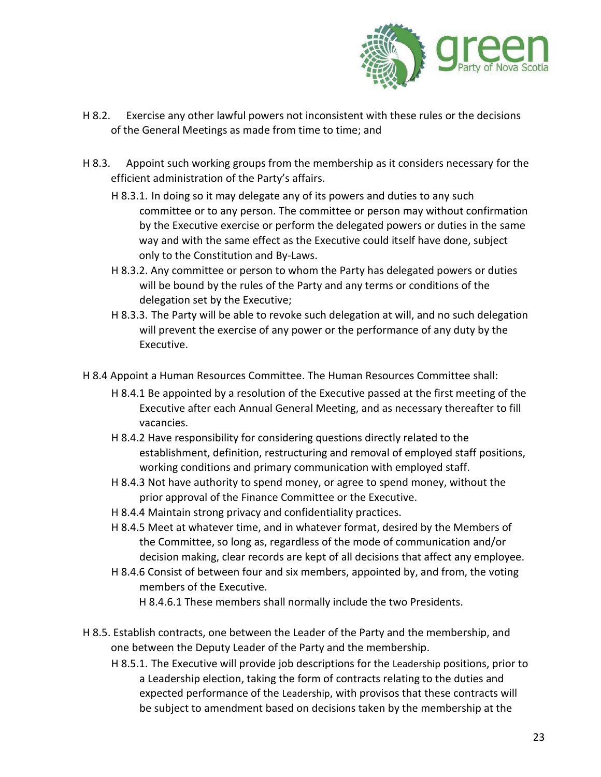

- H 8.2. Exercise any other lawful powers not inconsistent with these rules or the decisions of the General Meetings as made from time to time; and
- H 8.3. Appoint such working groups from the membership as it considers necessary for the efficient administration of the Party's affairs.
	- H 8.3.1. In doing so it may delegate any of its powers and duties to any such committee or to any person. The committee or person may without confirmation by the Executive exercise or perform the delegated powers or duties in the same way and with the same effect as the Executive could itself have done, subject only to the Constitution and By-Laws.
	- H 8.3.2. Any committee or person to whom the Party has delegated powers or duties will be bound by the rules of the Party and any terms or conditions of the delegation set by the Executive;
	- H 8.3.3. The Party will be able to revoke such delegation at will, and no such delegation will prevent the exercise of any power or the performance of any duty by the Executive.
- H 8.4 Appoint a Human Resources Committee. The Human Resources Committee shall:
	- H 8.4.1 Be appointed by a resolution of the Executive passed at the first meeting of the Executive after each Annual General Meeting, and as necessary thereafter to fill vacancies.
	- H 8.4.2 Have responsibility for considering questions directly related to the establishment, definition, restructuring and removal of employed staff positions, working conditions and primary communication with employed staff.
	- H 8.4.3 Not have authority to spend money, or agree to spend money, without the prior approval of the Finance Committee or the Executive.
	- H 8.4.4 Maintain strong privacy and confidentiality practices.
	- H 8.4.5 Meet at whatever time, and in whatever format, desired by the Members of the Committee, so long as, regardless of the mode of communication and/or decision making, clear records are kept of all decisions that affect any employee.
	- H 8.4.6 Consist of between four and six members, appointed by, and from, the voting members of the Executive.
		- H 8.4.6.1 These members shall normally include the two Presidents.
- H 8.5. Establish contracts, one between the Leader of the Party and the membership, and one between the Deputy Leader of the Party and the membership.
	- H 8.5.1. The Executive will provide job descriptions for the Leadership positions, prior to a Leadership election, taking the form of contracts relating to the duties and expected performance of the Leadership, with provisos that these contracts will be subject to amendment based on decisions taken by the membership at the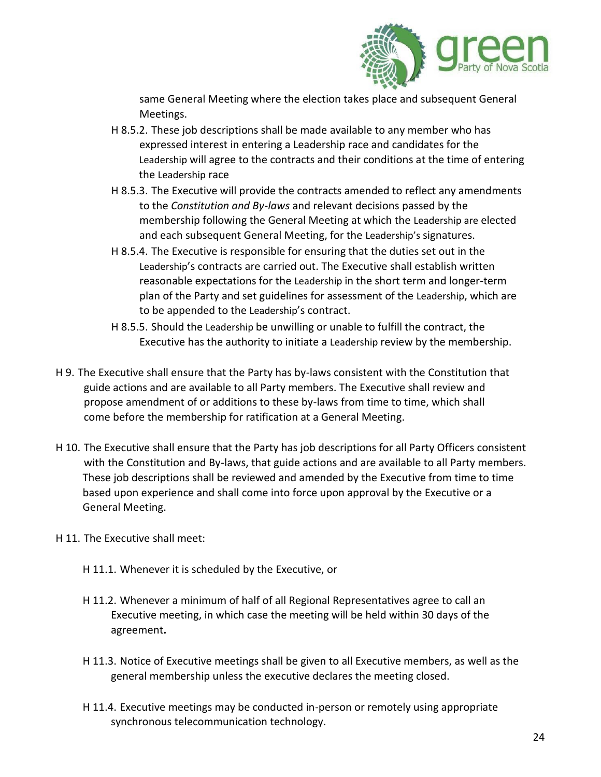

same General Meeting where the election takes place and subsequent General Meetings.

- H 8.5.2. These job descriptions shall be made available to any member who has expressed interest in entering a Leadership race and candidates for the Leadership will agree to the contracts and their conditions at the time of entering the Leadership race
- H 8.5.3. The Executive will provide the contracts amended to reflect any amendments to the *Constitution and By-laws* and relevant decisions passed by the membership following the General Meeting at which the Leadership are elected and each subsequent General Meeting, for the Leadership's signatures.
- H 8.5.4. The Executive is responsible for ensuring that the duties set out in the Leadership's contracts are carried out. The Executive shall establish written reasonable expectations for the Leadership in the short term and longer-term plan of the Party and set guidelines for assessment of the Leadership, which are to be appended to the Leadership's contract.
- H 8.5.5. Should the Leadership be unwilling or unable to fulfill the contract, the Executive has the authority to initiate a Leadership review by the membership.
- H 9. The Executive shall ensure that the Party has by-laws consistent with the Constitution that guide actions and are available to all Party members. The Executive shall review and propose amendment of or additions to these by-laws from time to time, which shall come before the membership for ratification at a General Meeting.
- H 10. The Executive shall ensure that the Party has job descriptions for all Party Officers consistent with the Constitution and By-laws, that guide actions and are available to all Party members. These job descriptions shall be reviewed and amended by the Executive from time to time based upon experience and shall come into force upon approval by the Executive or a General Meeting.
- H 11. The Executive shall meet:
	- H 11.1. Whenever it is scheduled by the Executive, or
	- H 11.2. Whenever a minimum of half of all Regional Representatives agree to call an Executive meeting, in which case the meeting will be held within 30 days of the agreement**.**
	- H 11.3. Notice of Executive meetings shall be given to all Executive members, as well as the general membership unless the executive declares the meeting closed.
	- H 11.4. Executive meetings may be conducted in-person or remotely using appropriate synchronous telecommunication technology.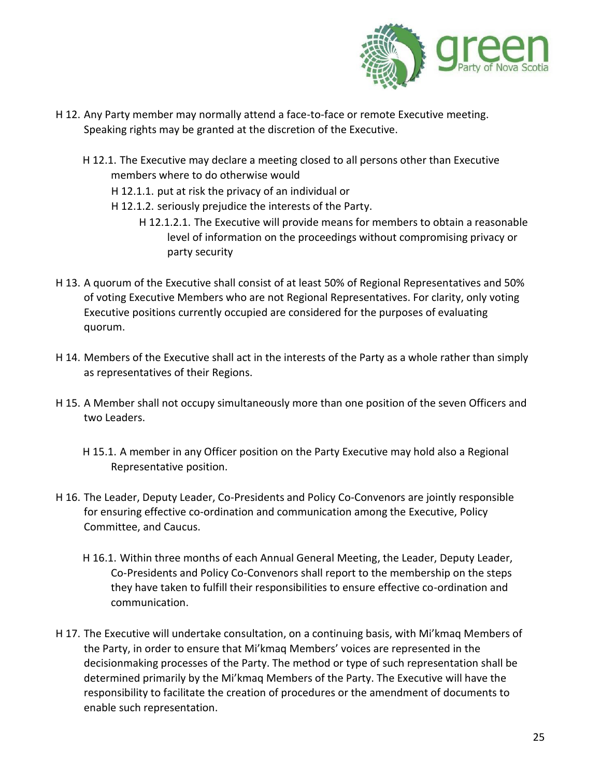

- H 12. Any Party member may normally attend a face-to-face or remote Executive meeting. Speaking rights may be granted at the discretion of the Executive.
	- H 12.1. The Executive may declare a meeting closed to all persons other than Executive members where to do otherwise would
		- H 12.1.1. put at risk the privacy of an individual or
		- H 12.1.2. seriously prejudice the interests of the Party.
			- H 12.1.2.1. The Executive will provide means for members to obtain a reasonable level of information on the proceedings without compromising privacy or party security
- H 13. A quorum of the Executive shall consist of at least 50% of Regional Representatives and 50% of voting Executive Members who are not Regional Representatives. For clarity, only voting Executive positions currently occupied are considered for the purposes of evaluating quorum.
- H 14. Members of the Executive shall act in the interests of the Party as a whole rather than simply as representatives of their Regions.
- H 15. A Member shall not occupy simultaneously more than one position of the seven Officers and two Leaders.
	- H 15.1. A member in any Officer position on the Party Executive may hold also a Regional Representative position.
- H 16. The Leader, Deputy Leader, Co-Presidents and Policy Co-Convenors are jointly responsible for ensuring effective co-ordination and communication among the Executive, Policy Committee, and Caucus.
	- H 16.1. Within three months of each Annual General Meeting, the Leader, Deputy Leader, Co-Presidents and Policy Co-Convenors shall report to the membership on the steps they have taken to fulfill their responsibilities to ensure effective co-ordination and communication.
- H 17. The Executive will undertake consultation, on a continuing basis, with Mi'kmaq Members of the Party, in order to ensure that Mi'kmaq Members' voices are represented in the decisionmaking processes of the Party. The method or type of such representation shall be determined primarily by the Mi'kmaq Members of the Party. The Executive will have the responsibility to facilitate the creation of procedures or the amendment of documents to enable such representation.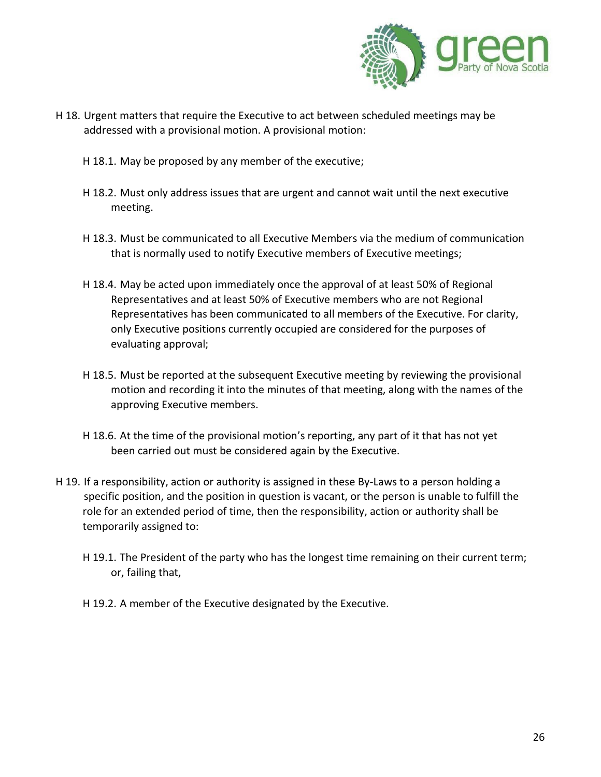

- H 18. Urgent matters that require the Executive to act between scheduled meetings may be addressed with a provisional motion. A provisional motion:
	- H 18.1. May be proposed by any member of the executive;
	- H 18.2. Must only address issues that are urgent and cannot wait until the next executive meeting.
	- H 18.3. Must be communicated to all Executive Members via the medium of communication that is normally used to notify Executive members of Executive meetings;
	- H 18.4. May be acted upon immediately once the approval of at least 50% of Regional Representatives and at least 50% of Executive members who are not Regional Representatives has been communicated to all members of the Executive. For clarity, only Executive positions currently occupied are considered for the purposes of evaluating approval;
	- H 18.5. Must be reported at the subsequent Executive meeting by reviewing the provisional motion and recording it into the minutes of that meeting, along with the names of the approving Executive members.
	- H 18.6. At the time of the provisional motion's reporting, any part of it that has not yet been carried out must be considered again by the Executive.
- H 19. If a responsibility, action or authority is assigned in these By-Laws to a person holding a specific position, and the position in question is vacant, or the person is unable to fulfill the role for an extended period of time, then the responsibility, action or authority shall be temporarily assigned to:
	- H 19.1. The President of the party who has the longest time remaining on their current term; or, failing that,
	- H 19.2. A member of the Executive designated by the Executive.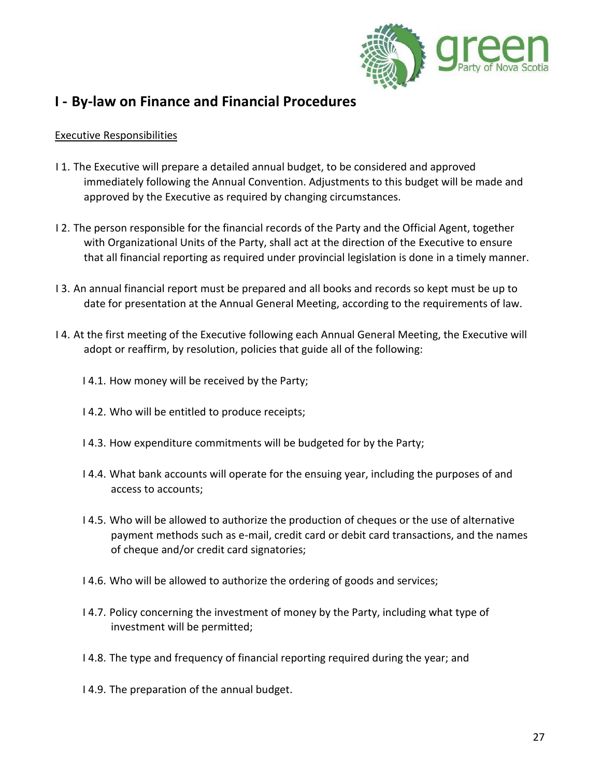

### <span id="page-26-0"></span>**I - By-law on Finance and Financial Procedures**

#### Executive Responsibilities

- I 1. The Executive will prepare a detailed annual budget, to be considered and approved immediately following the Annual Convention. Adjustments to this budget will be made and approved by the Executive as required by changing circumstances.
- I 2. The person responsible for the financial records of the Party and the Official Agent, together with Organizational Units of the Party, shall act at the direction of the Executive to ensure that all financial reporting as required under provincial legislation is done in a timely manner.
- I 3. An annual financial report must be prepared and all books and records so kept must be up to date for presentation at the Annual General Meeting, according to the requirements of law.
- I 4. At the first meeting of the Executive following each Annual General Meeting, the Executive will adopt or reaffirm, by resolution, policies that guide all of the following:
	- I 4.1. How money will be received by the Party;
	- I 4.2. Who will be entitled to produce receipts;
	- I 4.3. How expenditure commitments will be budgeted for by the Party;
	- I 4.4. What bank accounts will operate for the ensuing year, including the purposes of and access to accounts;
	- I 4.5. Who will be allowed to authorize the production of cheques or the use of alternative payment methods such as e-mail, credit card or debit card transactions, and the names of cheque and/or credit card signatories;
	- I 4.6. Who will be allowed to authorize the ordering of goods and services;
	- I 4.7. Policy concerning the investment of money by the Party, including what type of investment will be permitted;
	- I 4.8. The type and frequency of financial reporting required during the year; and
	- I 4.9. The preparation of the annual budget.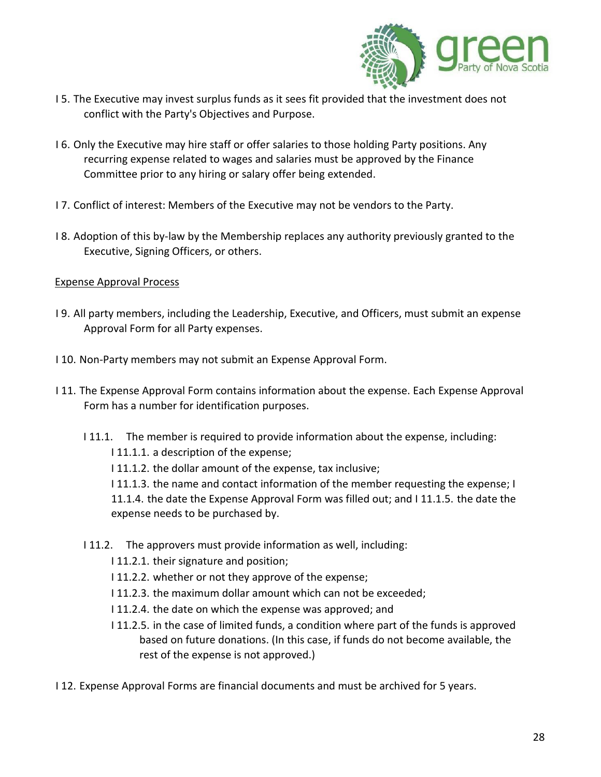

- I 5. The Executive may invest surplus funds as it sees fit provided that the investment does not conflict with the Party's Objectives and Purpose.
- I 6. Only the Executive may hire staff or offer salaries to those holding Party positions. Any recurring expense related to wages and salaries must be approved by the Finance Committee prior to any hiring or salary offer being extended.
- I 7. Conflict of interest: Members of the Executive may not be vendors to the Party.
- I 8. Adoption of this by-law by the Membership replaces any authority previously granted to the Executive, Signing Officers, or others.

#### Expense Approval Process

- I 9. All party members, including the Leadership, Executive, and Officers, must submit an expense Approval Form for all Party expenses.
- I 10. Non-Party members may not submit an Expense Approval Form.
- I 11. The Expense Approval Form contains information about the expense. Each Expense Approval Form has a number for identification purposes.
	- I 11.1. The member is required to provide information about the expense, including:

I 11.1.1. a description of the expense;

- I 11.1.2. the dollar amount of the expense, tax inclusive;
- I 11.1.3. the name and contact information of the member requesting the expense; I 11.1.4. the date the Expense Approval Form was filled out; and I 11.1.5. the date the expense needs to be purchased by.
- I 11.2. The approvers must provide information as well, including:
	- I 11.2.1. their signature and position;
	- I 11.2.2. whether or not they approve of the expense;
	- I 11.2.3. the maximum dollar amount which can not be exceeded;
	- I 11.2.4. the date on which the expense was approved; and
	- I 11.2.5. in the case of limited funds, a condition where part of the funds is approved based on future donations. (In this case, if funds do not become available, the rest of the expense is not approved.)
- I 12. Expense Approval Forms are financial documents and must be archived for 5 years.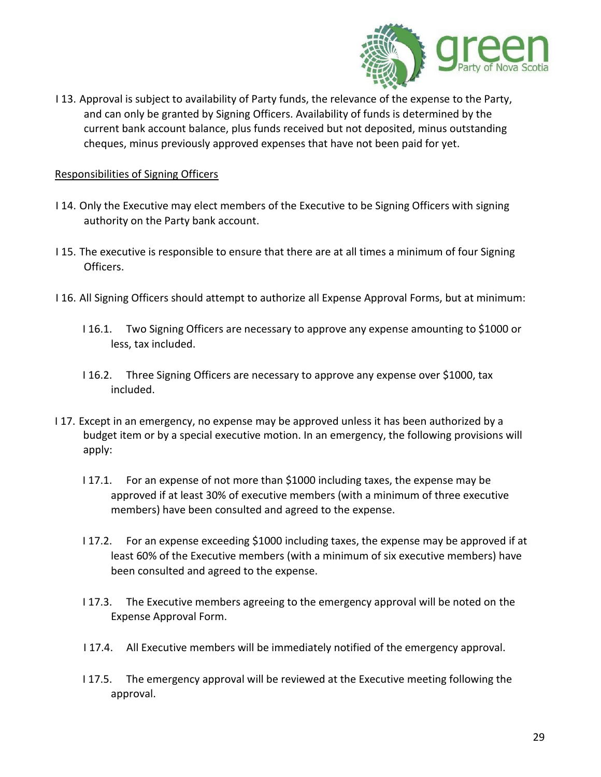

I 13. Approval is subject to availability of Party funds, the relevance of the expense to the Party, and can only be granted by Signing Officers. Availability of funds is determined by the current bank account balance, plus funds received but not deposited, minus outstanding cheques, minus previously approved expenses that have not been paid for yet.

#### Responsibilities of Signing Officers

- I 14. Only the Executive may elect members of the Executive to be Signing Officers with signing authority on the Party bank account.
- I 15. The executive is responsible to ensure that there are at all times a minimum of four Signing Officers.
- I 16. All Signing Officers should attempt to authorize all Expense Approval Forms, but at minimum:
	- I 16.1. Two Signing Officers are necessary to approve any expense amounting to \$1000 or less, tax included.
	- I 16.2. Three Signing Officers are necessary to approve any expense over \$1000, tax included.
- I 17. Except in an emergency, no expense may be approved unless it has been authorized by a budget item or by a special executive motion. In an emergency, the following provisions will apply:
	- I 17.1. For an expense of not more than \$1000 including taxes, the expense may be approved if at least 30% of executive members (with a minimum of three executive members) have been consulted and agreed to the expense.
	- I 17.2. For an expense exceeding \$1000 including taxes, the expense may be approved if at least 60% of the Executive members (with a minimum of six executive members) have been consulted and agreed to the expense.
	- I 17.3. The Executive members agreeing to the emergency approval will be noted on the Expense Approval Form.
	- I 17.4. All Executive members will be immediately notified of the emergency approval.
	- I 17.5. The emergency approval will be reviewed at the Executive meeting following the approval.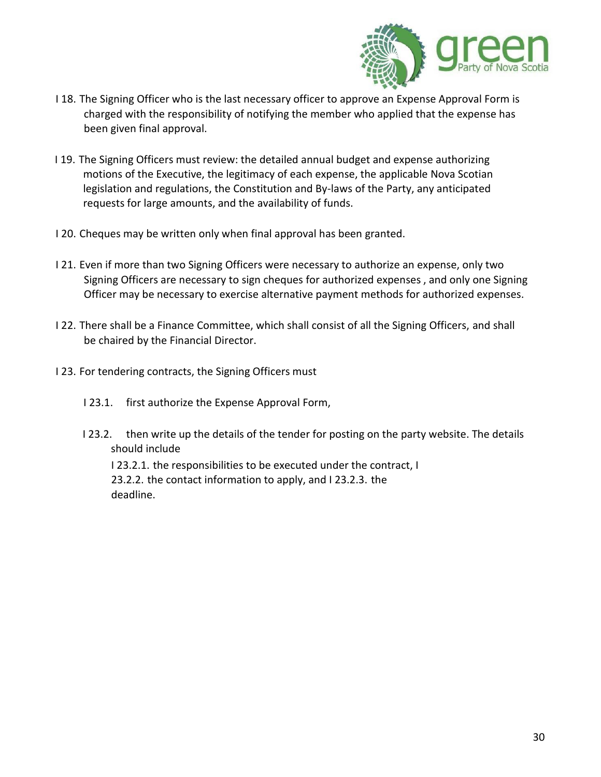

- I 18. The Signing Officer who is the last necessary officer to approve an Expense Approval Form is charged with the responsibility of notifying the member who applied that the expense has been given final approval.
- I 19. The Signing Officers must review: the detailed annual budget and expense authorizing motions of the Executive, the legitimacy of each expense, the applicable Nova Scotian legislation and regulations, the Constitution and By-laws of the Party, any anticipated requests for large amounts, and the availability of funds.
- I 20. Cheques may be written only when final approval has been granted.
- I 21. Even if more than two Signing Officers were necessary to authorize an expense, only two Signing Officers are necessary to sign cheques for authorized expenses , and only one Signing Officer may be necessary to exercise alternative payment methods for authorized expenses.
- I 22. There shall be a Finance Committee, which shall consist of all the Signing Officers, and shall be chaired by the Financial Director.
- I 23. For tendering contracts, the Signing Officers must
	- I 23.1. first authorize the Expense Approval Form,
	- I 23.2. then write up the details of the tender for posting on the party website. The details should include

I 23.2.1. the responsibilities to be executed under the contract, I 23.2.2. the contact information to apply, and I 23.2.3. the deadline.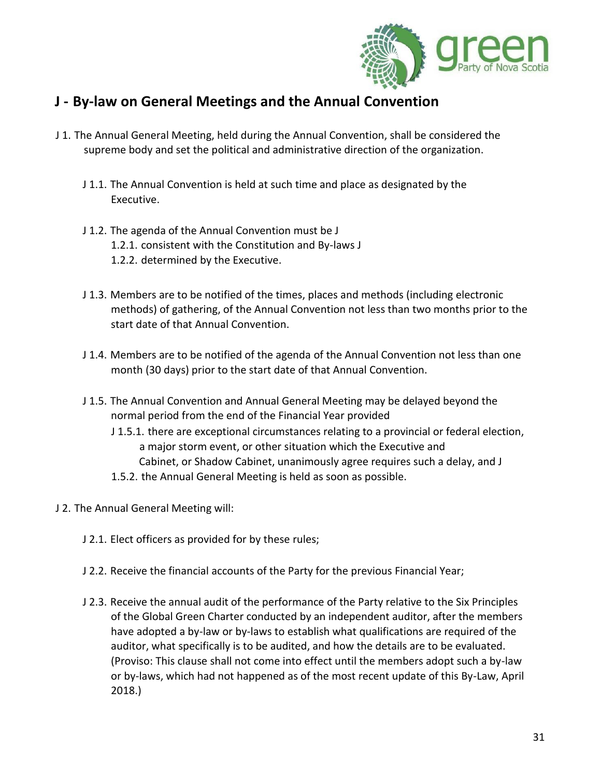

### <span id="page-30-0"></span>**J - By-law on General Meetings and the Annual Convention**

- J 1. The Annual General Meeting, held during the Annual Convention, shall be considered the supreme body and set the political and administrative direction of the organization.
	- J 1.1. The Annual Convention is held at such time and place as designated by the Executive.
	- J 1.2. The agenda of the Annual Convention must be J 1.2.1. consistent with the Constitution and By-laws J 1.2.2. determined by the Executive.
	- J 1.3. Members are to be notified of the times, places and methods (including electronic methods) of gathering, of the Annual Convention not less than two months prior to the start date of that Annual Convention.
	- J 1.4. Members are to be notified of the agenda of the Annual Convention not less than one month (30 days) prior to the start date of that Annual Convention.
	- J 1.5. The Annual Convention and Annual General Meeting may be delayed beyond the normal period from the end of the Financial Year provided
		- J 1.5.1. there are exceptional circumstances relating to a provincial or federal election, a major storm event, or other situation which the Executive and Cabinet, or Shadow Cabinet, unanimously agree requires such a delay, and J
		- 1.5.2. the Annual General Meeting is held as soon as possible.
- J 2. The Annual General Meeting will:
	- J 2.1. Elect officers as provided for by these rules;
	- J 2.2. Receive the financial accounts of the Party for the previous Financial Year;
	- J 2.3. Receive the annual audit of the performance of the Party relative to the Six Principles of the Global Green Charter conducted by an independent auditor, after the members have adopted a by-law or by-laws to establish what qualifications are required of the auditor, what specifically is to be audited, and how the details are to be evaluated. (Proviso: This clause shall not come into effect until the members adopt such a by-law or by-laws, which had not happened as of the most recent update of this By-Law, April 2018.)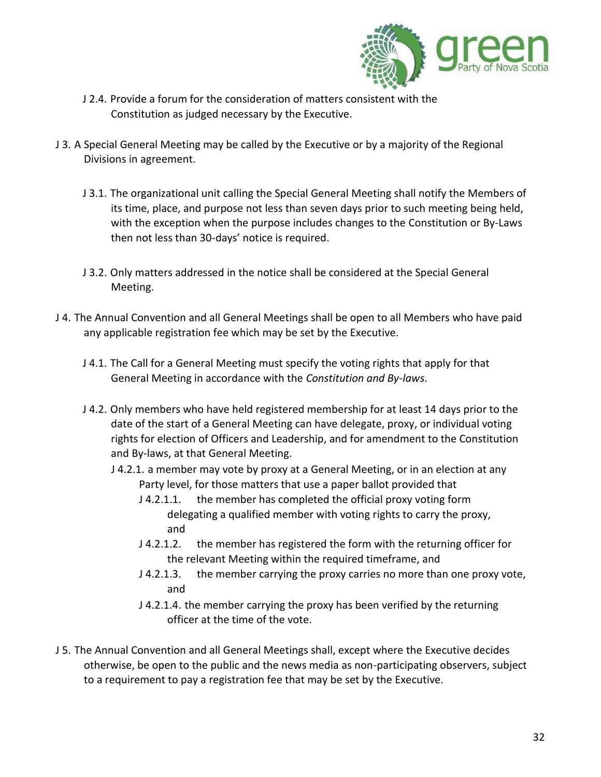

- J 2.4. Provide a forum for the consideration of matters consistent with the Constitution as judged necessary by the Executive.
- J 3. A Special General Meeting may be called by the Executive or by a majority of the Regional Divisions in agreement.
	- J 3.1. The organizational unit calling the Special General Meeting shall notify the Members of its time, place, and purpose not less than seven days prior to such meeting being held, with the exception when the purpose includes changes to the Constitution or By-Laws then not less than 30-days' notice is required.
	- J 3.2. Only matters addressed in the notice shall be considered at the Special General Meeting.
- J 4. The Annual Convention and all General Meetings shall be open to all Members who have paid any applicable registration fee which may be set by the Executive.
	- J 4.1. The Call for a General Meeting must specify the voting rights that apply for that General Meeting in accordance with the *Constitution and By-laws*.
	- J 4.2. Only members who have held registered membership for at least 14 days prior to the date of the start of a General Meeting can have delegate, proxy, or individual voting rights for election of Officers and Leadership, and for amendment to the Constitution and By-laws, at that General Meeting.
		- J 4.2.1. a member may vote by proxy at a General Meeting, or in an election at any Party level, for those matters that use a paper ballot provided that
			- J 4.2.1.1. the member has completed the official proxy voting form delegating a qualified member with voting rights to carry the proxy, and
			- J 4.2.1.2. the member has registered the form with the returning officer for the relevant Meeting within the required timeframe, and
			- J 4.2.1.3. the member carrying the proxy carries no more than one proxy vote, and
			- J 4.2.1.4. the member carrying the proxy has been verified by the returning officer at the time of the vote.
- J 5. The Annual Convention and all General Meetings shall, except where the Executive decides otherwise, be open to the public and the news media as non-participating observers, subject to a requirement to pay a registration fee that may be set by the Executive.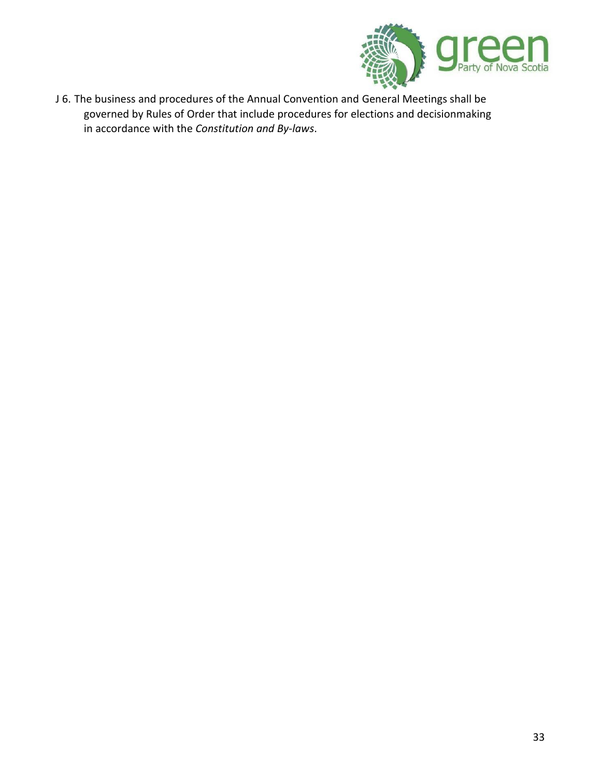

J 6. The business and procedures of the Annual Convention and General Meetings shall be governed by Rules of Order that include procedures for elections and decisionmaking in accordance with the *Constitution and By-laws*.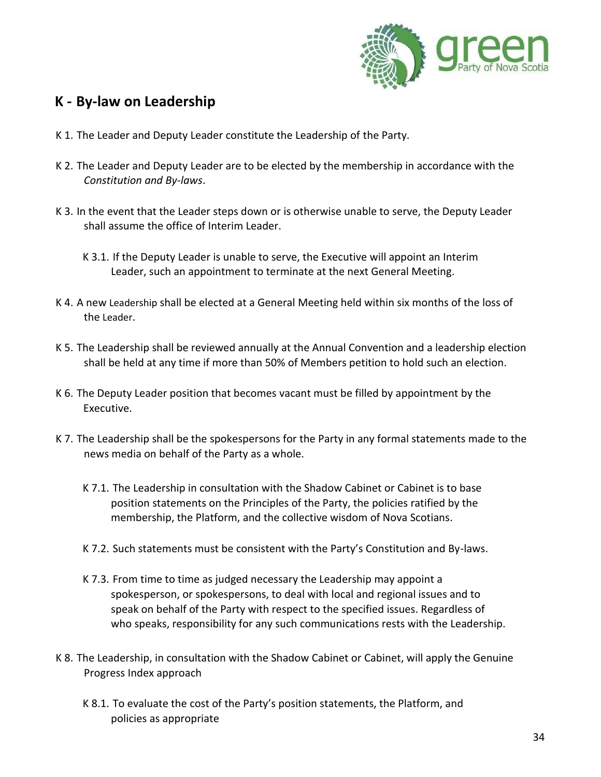

### <span id="page-33-0"></span>**K - By-law on Leadership**

- K 1. The Leader and Deputy Leader constitute the Leadership of the Party.
- K 2. The Leader and Deputy Leader are to be elected by the membership in accordance with the *Constitution and By-laws*.
- K 3. In the event that the Leader steps down or is otherwise unable to serve, the Deputy Leader shall assume the office of Interim Leader.
	- K 3.1. If the Deputy Leader is unable to serve, the Executive will appoint an Interim Leader, such an appointment to terminate at the next General Meeting.
- K 4. A new Leadership shall be elected at a General Meeting held within six months of the loss of the Leader.
- K 5. The Leadership shall be reviewed annually at the Annual Convention and a leadership election shall be held at any time if more than 50% of Members petition to hold such an election.
- K 6. The Deputy Leader position that becomes vacant must be filled by appointment by the Executive.
- K 7. The Leadership shall be the spokespersons for the Party in any formal statements made to the news media on behalf of the Party as a whole.
	- K 7.1. The Leadership in consultation with the Shadow Cabinet or Cabinet is to base position statements on the Principles of the Party, the policies ratified by the membership, the Platform, and the collective wisdom of Nova Scotians.
	- K 7.2. Such statements must be consistent with the Party's Constitution and By-laws.
	- K 7.3. From time to time as judged necessary the Leadership may appoint a spokesperson, or spokespersons, to deal with local and regional issues and to speak on behalf of the Party with respect to the specified issues. Regardless of who speaks, responsibility for any such communications rests with the Leadership.
- K 8. The Leadership, in consultation with the Shadow Cabinet or Cabinet, will apply the Genuine Progress Index approach
	- K 8.1. To evaluate the cost of the Party's position statements, the Platform, and policies as appropriate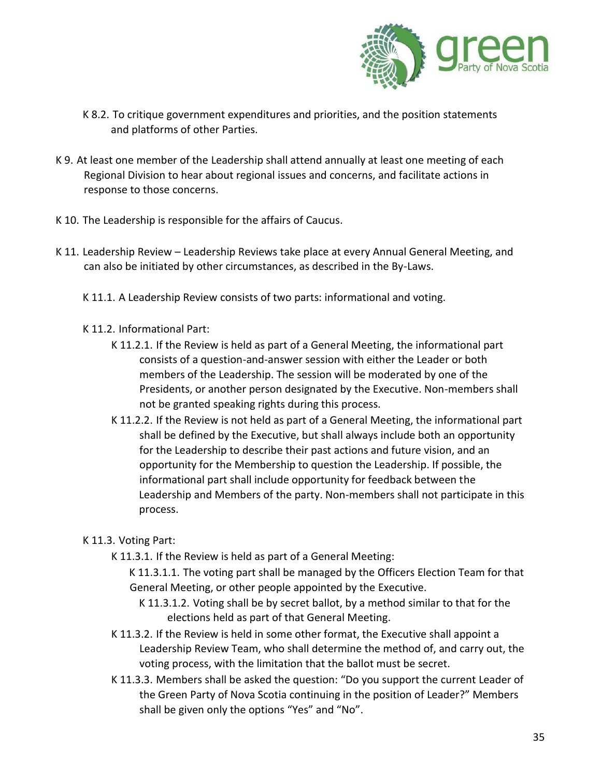

- K 8.2. To critique government expenditures and priorities, and the position statements and platforms of other Parties.
- K 9. At least one member of the Leadership shall attend annually at least one meeting of each Regional Division to hear about regional issues and concerns, and facilitate actions in response to those concerns.
- K 10. The Leadership is responsible for the affairs of Caucus.
- K 11. Leadership Review Leadership Reviews take place at every Annual General Meeting, and can also be initiated by other circumstances, as described in the By-Laws.
	- K 11.1. A Leadership Review consists of two parts: informational and voting.
	- K 11.2. Informational Part:
		- K 11.2.1. If the Review is held as part of a General Meeting, the informational part consists of a question-and-answer session with either the Leader or both members of the Leadership. The session will be moderated by one of the Presidents, or another person designated by the Executive. Non-members shall not be granted speaking rights during this process.
		- K 11.2.2. If the Review is not held as part of a General Meeting, the informational part shall be defined by the Executive, but shall always include both an opportunity for the Leadership to describe their past actions and future vision, and an opportunity for the Membership to question the Leadership. If possible, the informational part shall include opportunity for feedback between the Leadership and Members of the party. Non-members shall not participate in this process.

#### K 11.3. Voting Part:

- K 11.3.1. If the Review is held as part of a General Meeting:
	- K 11.3.1.1. The voting part shall be managed by the Officers Election Team for that General Meeting, or other people appointed by the Executive.
		- K 11.3.1.2. Voting shall be by secret ballot, by a method similar to that for the elections held as part of that General Meeting.
- K 11.3.2. If the Review is held in some other format, the Executive shall appoint a Leadership Review Team, who shall determine the method of, and carry out, the voting process, with the limitation that the ballot must be secret.
- K 11.3.3. Members shall be asked the question: "Do you support the current Leader of the Green Party of Nova Scotia continuing in the position of Leader?" Members shall be given only the options "Yes" and "No".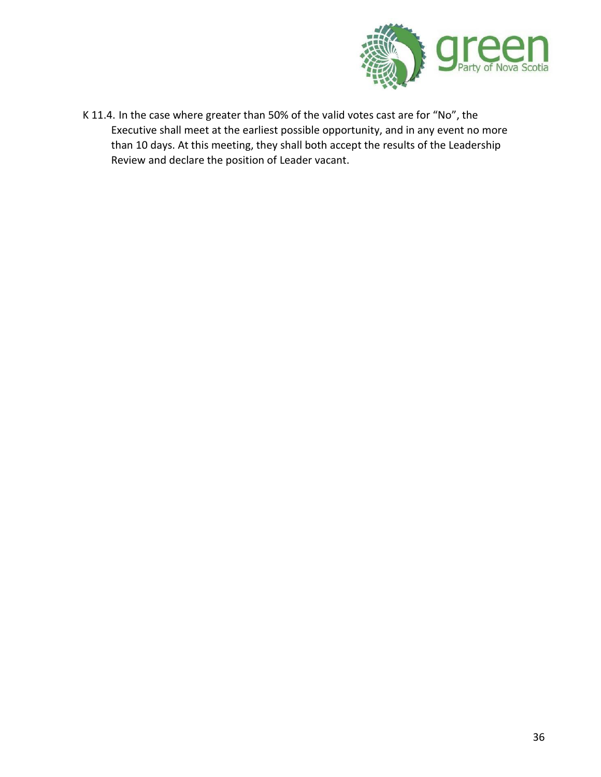

K 11.4. In the case where greater than 50% of the valid votes cast are for "No", the Executive shall meet at the earliest possible opportunity, and in any event no more than 10 days. At this meeting, they shall both accept the results of the Leadership Review and declare the position of Leader vacant.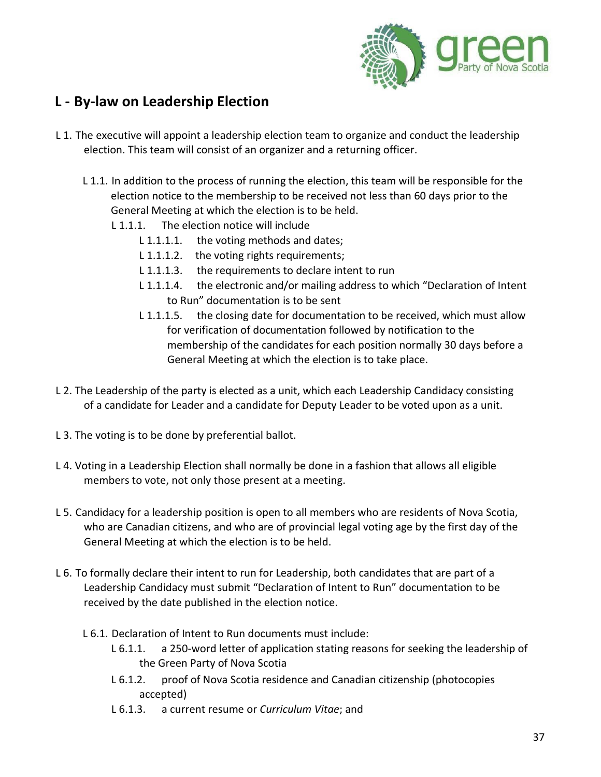

### <span id="page-36-0"></span>**L - By-law on Leadership Election**

- L 1. The executive will appoint a leadership election team to organize and conduct the leadership election. This team will consist of an organizer and a returning officer.
	- L 1.1. In addition to the process of running the election, this team will be responsible for the election notice to the membership to be received not less than 60 days prior to the General Meeting at which the election is to be held.
		- L 1.1.1. The election notice will include
			- L 1.1.1.1. the voting methods and dates;
			- L 1.1.1.2. the voting rights requirements;
			- L 1.1.1.3. the requirements to declare intent to run
			- L 1.1.1.4. the electronic and/or mailing address to which "Declaration of Intent to Run" documentation is to be sent
			- L 1.1.1.5. the closing date for documentation to be received, which must allow for verification of documentation followed by notification to the membership of the candidates for each position normally 30 days before a General Meeting at which the election is to take place.
- L 2. The Leadership of the party is elected as a unit, which each Leadership Candidacy consisting of a candidate for Leader and a candidate for Deputy Leader to be voted upon as a unit.
- L 3. The voting is to be done by preferential ballot.
- L 4. Voting in a Leadership Election shall normally be done in a fashion that allows all eligible members to vote, not only those present at a meeting.
- L 5. Candidacy for a leadership position is open to all members who are residents of Nova Scotia, who are Canadian citizens, and who are of provincial legal voting age by the first day of the General Meeting at which the election is to be held.
- L 6. To formally declare their intent to run for Leadership, both candidates that are part of a Leadership Candidacy must submit "Declaration of Intent to Run" documentation to be received by the date published in the election notice.
	- L 6.1. Declaration of Intent to Run documents must include:
		- L 6.1.1. a 250-word letter of application stating reasons for seeking the leadership of the Green Party of Nova Scotia
		- L 6.1.2. proof of Nova Scotia residence and Canadian citizenship (photocopies accepted)
		- L 6.1.3. a current resume or *Curriculum Vitae*; and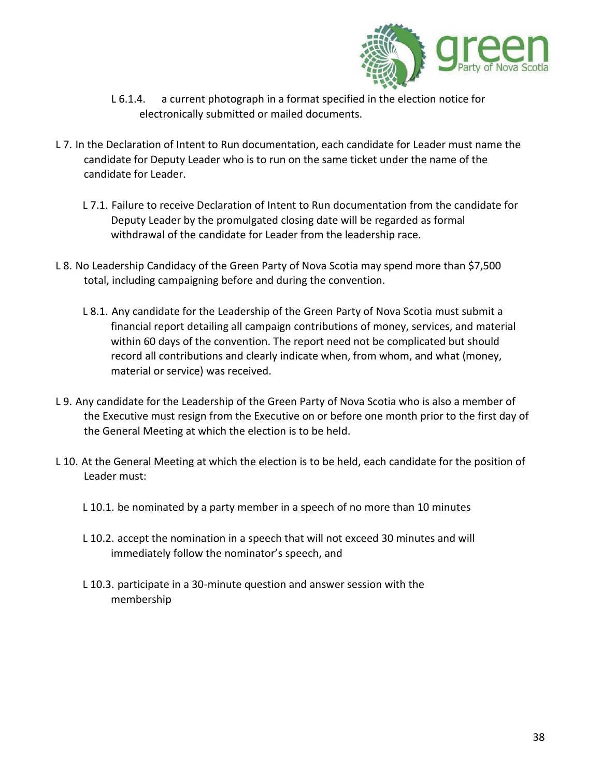

- L 6.1.4. a current photograph in a format specified in the election notice for electronically submitted or mailed documents.
- L 7. In the Declaration of Intent to Run documentation, each candidate for Leader must name the candidate for Deputy Leader who is to run on the same ticket under the name of the candidate for Leader.
	- L 7.1. Failure to receive Declaration of Intent to Run documentation from the candidate for Deputy Leader by the promulgated closing date will be regarded as formal withdrawal of the candidate for Leader from the leadership race.
- L 8. No Leadership Candidacy of the Green Party of Nova Scotia may spend more than \$7,500 total, including campaigning before and during the convention.
	- L 8.1. Any candidate for the Leadership of the Green Party of Nova Scotia must submit a financial report detailing all campaign contributions of money, services, and material within 60 days of the convention. The report need not be complicated but should record all contributions and clearly indicate when, from whom, and what (money, material or service) was received.
- L 9. Any candidate for the Leadership of the Green Party of Nova Scotia who is also a member of the Executive must resign from the Executive on or before one month prior to the first day of the General Meeting at which the election is to be held.
- L 10. At the General Meeting at which the election is to be held, each candidate for the position of Leader must:
	- L 10.1. be nominated by a party member in a speech of no more than 10 minutes
	- L 10.2. accept the nomination in a speech that will not exceed 30 minutes and will immediately follow the nominator's speech, and
	- L 10.3. participate in a 30-minute question and answer session with the membership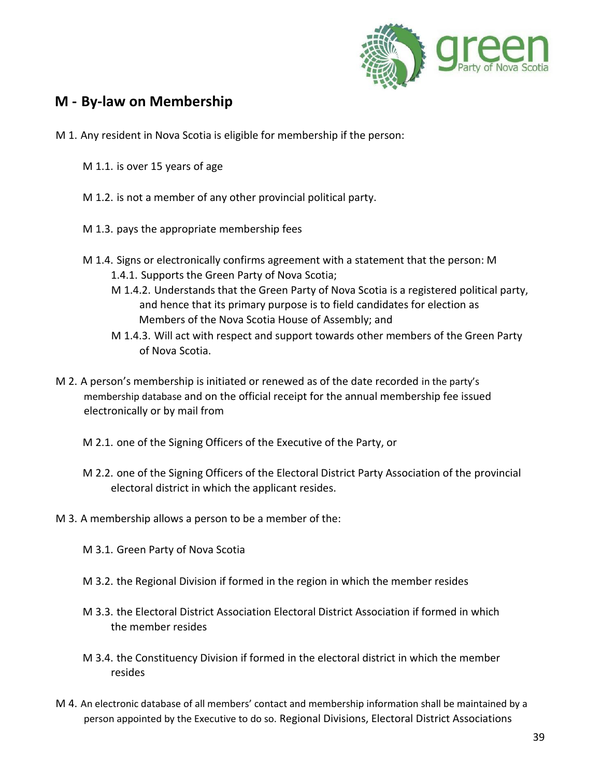

### <span id="page-38-0"></span>**M - By-law on Membership**

- M 1. Any resident in Nova Scotia is eligible for membership if the person:
	- M 1.1. is over 15 years of age
	- M 1.2. is not a member of any other provincial political party.
	- M 1.3. pays the appropriate membership fees
	- M 1.4. Signs or electronically confirms agreement with a statement that the person: M 1.4.1. Supports the Green Party of Nova Scotia;
		- M 1.4.2. Understands that the Green Party of Nova Scotia is a registered political party, and hence that its primary purpose is to field candidates for election as Members of the Nova Scotia House of Assembly; and
		- M 1.4.3. Will act with respect and support towards other members of the Green Party of Nova Scotia.
- M 2. A person's membership is initiated or renewed as of the date recorded in the party's membership database and on the official receipt for the annual membership fee issued electronically or by mail from
	- M 2.1. one of the Signing Officers of the Executive of the Party, or
	- M 2.2. one of the Signing Officers of the Electoral District Party Association of the provincial electoral district in which the applicant resides.
- M 3. A membership allows a person to be a member of the:
	- M 3.1. Green Party of Nova Scotia
	- M 3.2. the Regional Division if formed in the region in which the member resides
	- M 3.3. the Electoral District Association Electoral District Association if formed in which the member resides
	- M 3.4. the Constituency Division if formed in the electoral district in which the member resides
- M 4. An electronic database of all members' contact and membership information shall be maintained by a person appointed by the Executive to do so. Regional Divisions, Electoral District Associations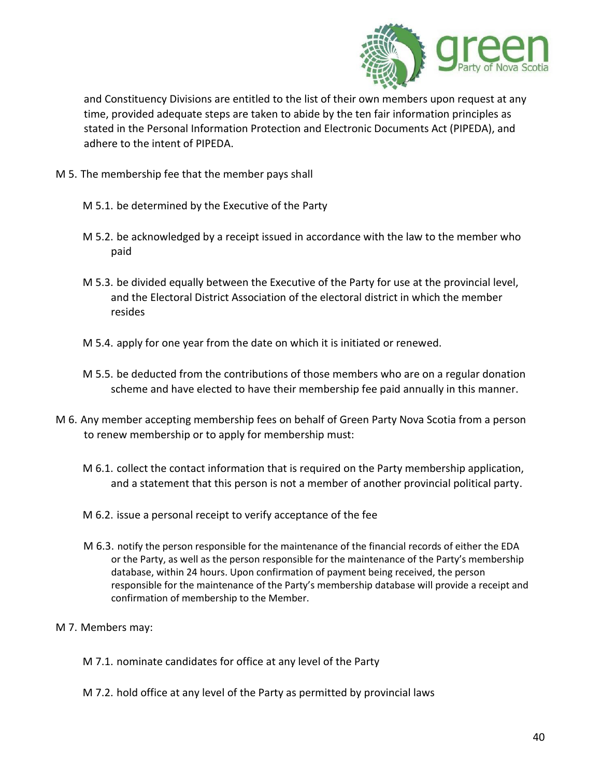

and Constituency Divisions are entitled to the list of their own members upon request at any time, provided adequate steps are taken to abide by the ten fair information principles as stated in the Personal Information Protection and Electronic Documents Act (PIPEDA), and adhere to the intent of PIPEDA.

- M 5. The membership fee that the member pays shall
	- M 5.1. be determined by the Executive of the Party
	- M 5.2. be acknowledged by a receipt issued in accordance with the law to the member who paid
	- M 5.3. be divided equally between the Executive of the Party for use at the provincial level, and the Electoral District Association of the electoral district in which the member resides
	- M 5.4. apply for one year from the date on which it is initiated or renewed.
	- M 5.5. be deducted from the contributions of those members who are on a regular donation scheme and have elected to have their membership fee paid annually in this manner.
- M 6. Any member accepting membership fees on behalf of Green Party Nova Scotia from a person to renew membership or to apply for membership must:
	- M 6.1. collect the contact information that is required on the Party membership application, and a statement that this person is not a member of another provincial political party.
	- M 6.2. issue a personal receipt to verify acceptance of the fee
	- M 6.3. notify the person responsible for the maintenance of the financial records of either the EDA or the Party, as well as the person responsible for the maintenance of the Party's membership database, within 24 hours. Upon confirmation of payment being received, the person responsible for the maintenance of the Party's membership database will provide a receipt and confirmation of membership to the Member.
- M 7. Members may:
	- M 7.1. nominate candidates for office at any level of the Party
	- M 7.2. hold office at any level of the Party as permitted by provincial laws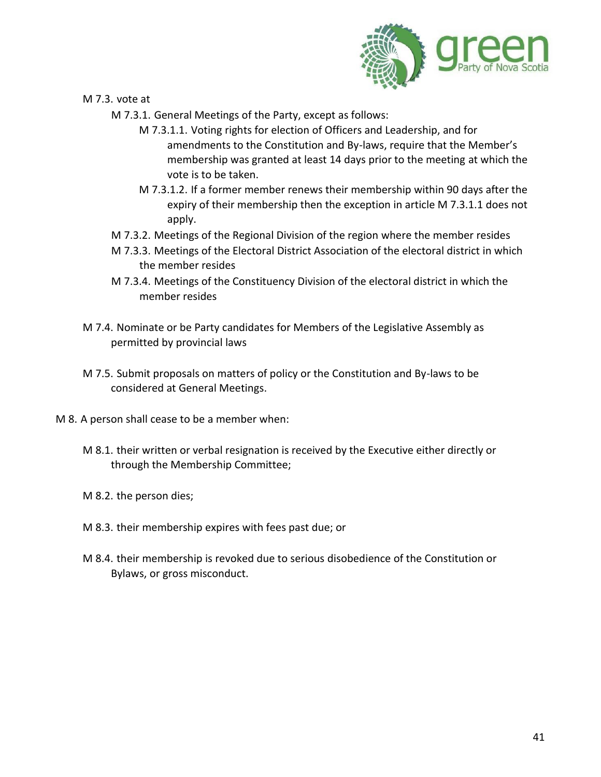

M 7.3. vote at

- M 7.3.1. General Meetings of the Party, except as follows:
	- M 7.3.1.1. Voting rights for election of Officers and Leadership, and for amendments to the Constitution and By-laws, require that the Member's membership was granted at least 14 days prior to the meeting at which the vote is to be taken.
	- M 7.3.1.2. If a former member renews their membership within 90 days after the expiry of their membership then the exception in article M 7.3.1.1 does not apply.
- M 7.3.2. Meetings of the Regional Division of the region where the member resides
- M 7.3.3. Meetings of the Electoral District Association of the electoral district in which the member resides
- M 7.3.4. Meetings of the Constituency Division of the electoral district in which the member resides
- M 7.4. Nominate or be Party candidates for Members of the Legislative Assembly as permitted by provincial laws
- M 7.5. Submit proposals on matters of policy or the Constitution and By-laws to be considered at General Meetings.
- M 8. A person shall cease to be a member when:
	- M 8.1. their written or verbal resignation is received by the Executive either directly or through the Membership Committee;
	- M 8.2. the person dies;
	- M 8.3. their membership expires with fees past due; or
	- M 8.4. their membership is revoked due to serious disobedience of the Constitution or Bylaws, or gross misconduct.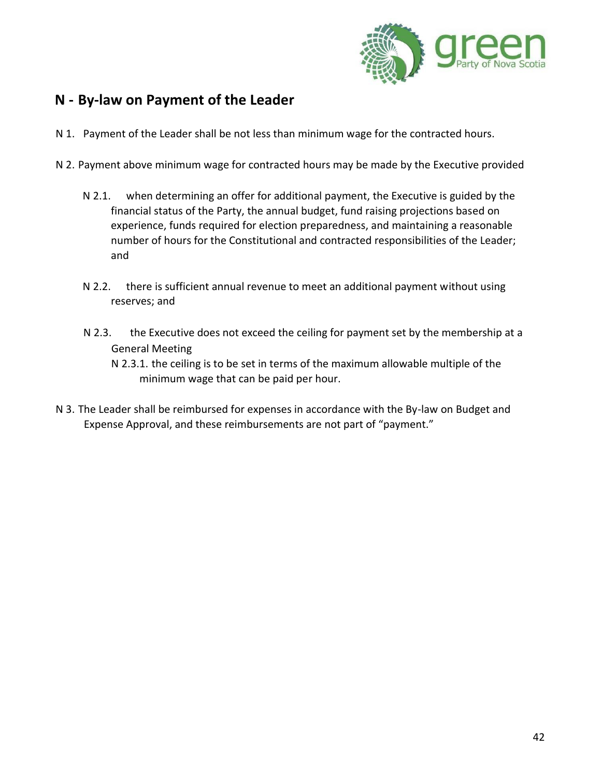

### <span id="page-41-0"></span>**N - By-law on Payment of the Leader**

- N 1. Payment of the Leader shall be not less than minimum wage for the contracted hours.
- N 2. Payment above minimum wage for contracted hours may be made by the Executive provided
	- N 2.1. when determining an offer for additional payment, the Executive is guided by the financial status of the Party, the annual budget, fund raising projections based on experience, funds required for election preparedness, and maintaining a reasonable number of hours for the Constitutional and contracted responsibilities of the Leader; and
	- N 2.2. there is sufficient annual revenue to meet an additional payment without using reserves; and
	- N 2.3. the Executive does not exceed the ceiling for payment set by the membership at a General Meeting
		- N 2.3.1. the ceiling is to be set in terms of the maximum allowable multiple of the minimum wage that can be paid per hour.
- N 3. The Leader shall be reimbursed for expenses in accordance with the By-law on Budget and Expense Approval, and these reimbursements are not part of "payment."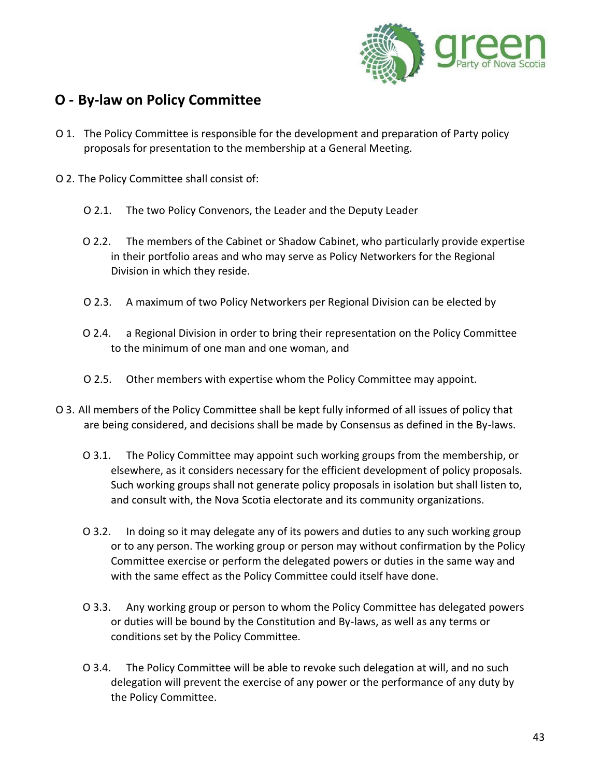

### <span id="page-42-0"></span>**O - By-law on Policy Committee**

- O 1. The Policy Committee is responsible for the development and preparation of Party policy proposals for presentation to the membership at a General Meeting.
- O 2. The Policy Committee shall consist of:
	- O 2.1. The two Policy Convenors, the Leader and the Deputy Leader
	- O 2.2. The members of the Cabinet or Shadow Cabinet, who particularly provide expertise in their portfolio areas and who may serve as Policy Networkers for the Regional Division in which they reside.
	- O 2.3. A maximum of two Policy Networkers per Regional Division can be elected by
	- O 2.4. a Regional Division in order to bring their representation on the Policy Committee to the minimum of one man and one woman, and
	- O 2.5. Other members with expertise whom the Policy Committee may appoint.
- O 3. All members of the Policy Committee shall be kept fully informed of all issues of policy that are being considered, and decisions shall be made by Consensus as defined in the By-laws.
	- O 3.1. The Policy Committee may appoint such working groups from the membership, or elsewhere, as it considers necessary for the efficient development of policy proposals. Such working groups shall not generate policy proposals in isolation but shall listen to, and consult with, the Nova Scotia electorate and its community organizations.
	- O 3.2. In doing so it may delegate any of its powers and duties to any such working group or to any person. The working group or person may without confirmation by the Policy Committee exercise or perform the delegated powers or duties in the same way and with the same effect as the Policy Committee could itself have done.
	- O 3.3. Any working group or person to whom the Policy Committee has delegated powers or duties will be bound by the Constitution and By-laws, as well as any terms or conditions set by the Policy Committee.
	- O 3.4. The Policy Committee will be able to revoke such delegation at will, and no such delegation will prevent the exercise of any power or the performance of any duty by the Policy Committee.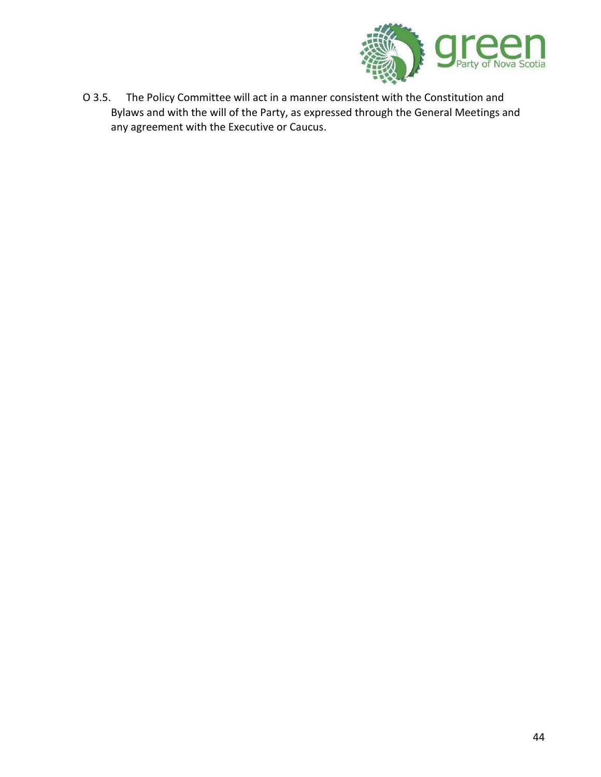

O 3.5. The Policy Committee will act in a manner consistent with the Constitution and Bylaws and with the will of the Party, as expressed through the General Meetings and any agreement with the Executive or Caucus.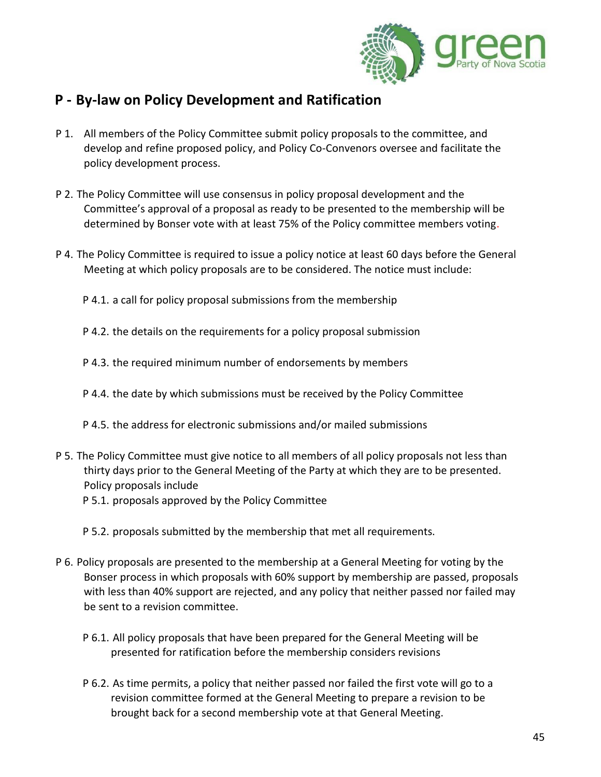

### <span id="page-44-0"></span>**P - By-law on Policy Development and Ratification**

- P 1. All members of the Policy Committee submit policy proposals to the committee, and develop and refine proposed policy, and Policy Co-Convenors oversee and facilitate the policy development process.
- P 2. The Policy Committee will use consensus in policy proposal development and the Committee's approval of a proposal as ready to be presented to the membership will be determined by Bonser vote with at least 75% of the Policy committee members voting.
- P 4. The Policy Committee is required to issue a policy notice at least 60 days before the General Meeting at which policy proposals are to be considered. The notice must include:
	- P 4.1. a call for policy proposal submissions from the membership
	- P 4.2. the details on the requirements for a policy proposal submission
	- P 4.3. the required minimum number of endorsements by members
	- P 4.4. the date by which submissions must be received by the Policy Committee
	- P 4.5. the address for electronic submissions and/or mailed submissions
- P 5. The Policy Committee must give notice to all members of all policy proposals not less than thirty days prior to the General Meeting of the Party at which they are to be presented. Policy proposals include
	- P 5.1. proposals approved by the Policy Committee
	- P 5.2. proposals submitted by the membership that met all requirements.
- P 6. Policy proposals are presented to the membership at a General Meeting for voting by the Bonser process in which proposals with 60% support by membership are passed, proposals with less than 40% support are rejected, and any policy that neither passed nor failed may be sent to a revision committee.
	- P 6.1. All policy proposals that have been prepared for the General Meeting will be presented for ratification before the membership considers revisions
	- P 6.2. As time permits, a policy that neither passed nor failed the first vote will go to a revision committee formed at the General Meeting to prepare a revision to be brought back for a second membership vote at that General Meeting.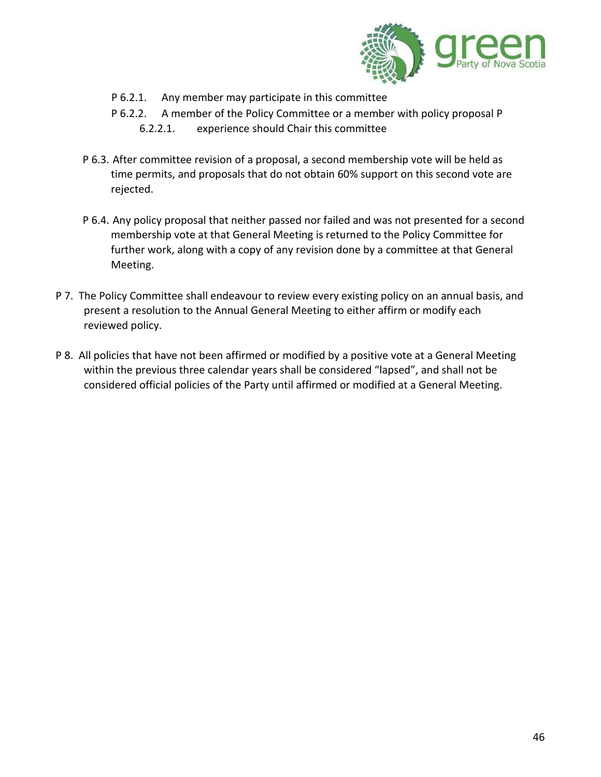

- P 6.2.1. Any member may participate in this committee
- P 6.2.2. A member of the Policy Committee or a member with policy proposal P 6.2.2.1. experience should Chair this committee
- P 6.3. After committee revision of a proposal, a second membership vote will be held as time permits, and proposals that do not obtain 60% support on this second vote are rejected.
- P 6.4. Any policy proposal that neither passed nor failed and was not presented for a second membership vote at that General Meeting is returned to the Policy Committee for further work, along with a copy of any revision done by a committee at that General Meeting.
- P 7. The Policy Committee shall endeavour to review every existing policy on an annual basis, and present a resolution to the Annual General Meeting to either affirm or modify each reviewed policy.
- P 8. All policies that have not been affirmed or modified by a positive vote at a General Meeting within the previous three calendar years shall be considered "lapsed", and shall not be considered official policies of the Party until affirmed or modified at a General Meeting.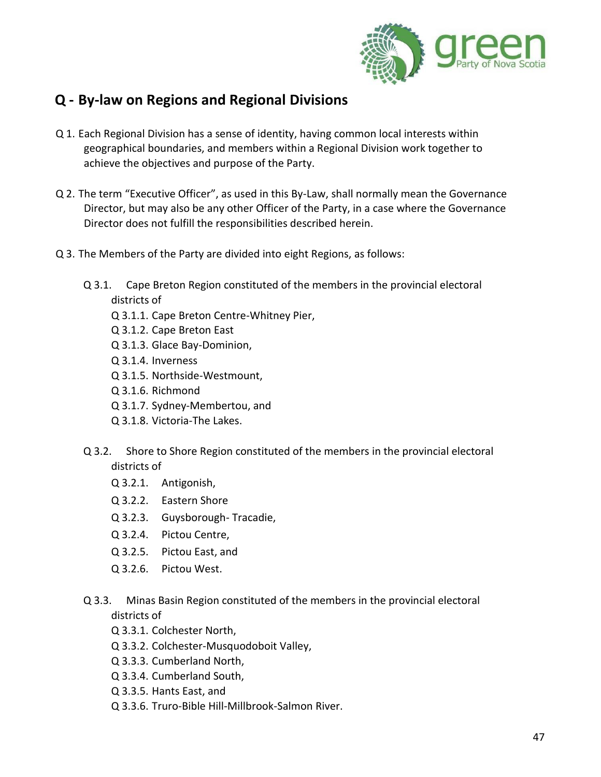

### <span id="page-46-0"></span>**Q - By-law on Regions and Regional Divisions**

- Q 1. Each Regional Division has a sense of identity, having common local interests within geographical boundaries, and members within a Regional Division work together to achieve the objectives and purpose of the Party.
- Q 2. The term "Executive Officer", as used in this By-Law, shall normally mean the Governance Director, but may also be any other Officer of the Party, in a case where the Governance Director does not fulfill the responsibilities described herein.
- Q 3. The Members of the Party are divided into eight Regions, as follows:
	- Q 3.1. Cape Breton Region constituted of the members in the provincial electoral districts of
		- Q 3.1.1. Cape Breton Centre-Whitney Pier,
		- Q 3.1.2. Cape Breton East
		- Q 3.1.3. Glace Bay-Dominion,
		- Q 3.1.4. Inverness
		- Q 3.1.5. Northside-Westmount,
		- Q 3.1.6. Richmond
		- Q 3.1.7. Sydney-Membertou, and
		- Q 3.1.8. Victoria-The Lakes.
	- Q 3.2. Shore to Shore Region constituted of the members in the provincial electoral districts of
		- Q 3.2.1. Antigonish,
		- Q 3.2.2. Eastern Shore
		- Q 3.2.3. Guysborough- Tracadie,
		- Q 3.2.4. Pictou Centre,
		- Q 3.2.5. Pictou East, and
		- Q 3.2.6. Pictou West.
	- Q 3.3. Minas Basin Region constituted of the members in the provincial electoral districts of
		- Q 3.3.1. Colchester North,
		- Q 3.3.2. Colchester-Musquodoboit Valley,
		- Q 3.3.3. Cumberland North,
		- Q 3.3.4. Cumberland South,
		- Q 3.3.5. Hants East, and
		- Q 3.3.6. Truro-Bible Hill-Millbrook-Salmon River.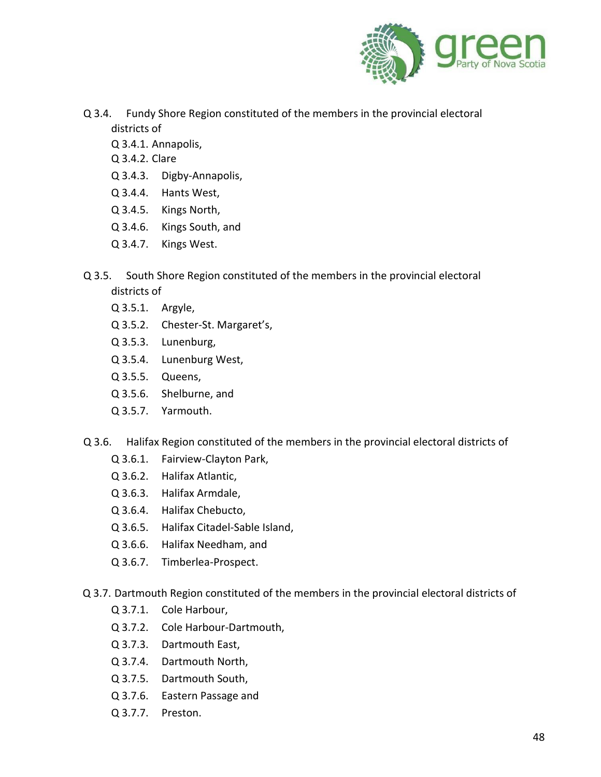

- Q 3.4. Fundy Shore Region constituted of the members in the provincial electoral districts of
	- Q 3.4.1. Annapolis,
	- Q 3.4.2. Clare
	- Q 3.4.3. Digby-Annapolis,
	- Q 3.4.4. Hants West,
	- Q 3.4.5. Kings North,
	- Q 3.4.6. Kings South, and
	- Q 3.4.7. Kings West.
- Q 3.5. South Shore Region constituted of the members in the provincial electoral districts of
	- Q 3.5.1. Argyle,
	- Q 3.5.2. Chester-St. Margaret's,
	- Q 3.5.3. Lunenburg,
	- Q 3.5.4. Lunenburg West,
	- Q 3.5.5. Queens,
	- Q 3.5.6. Shelburne, and
	- Q 3.5.7. Yarmouth.
- Q 3.6. Halifax Region constituted of the members in the provincial electoral districts of
	- Q 3.6.1. Fairview-Clayton Park,
	- Q 3.6.2. Halifax Atlantic,
	- Q 3.6.3. Halifax Armdale,
	- Q 3.6.4. Halifax Chebucto,
	- Q 3.6.5. Halifax Citadel-Sable Island,
	- Q 3.6.6. Halifax Needham, and
	- Q 3.6.7. Timberlea-Prospect.
- Q 3.7. Dartmouth Region constituted of the members in the provincial electoral districts of
	- Q 3.7.1. Cole Harbour,
	- Q 3.7.2. Cole Harbour-Dartmouth,
	- Q 3.7.3. Dartmouth East,
	- Q 3.7.4. Dartmouth North,
	- Q 3.7.5. Dartmouth South,
	- Q 3.7.6. Eastern Passage and
	- Q 3.7.7. Preston.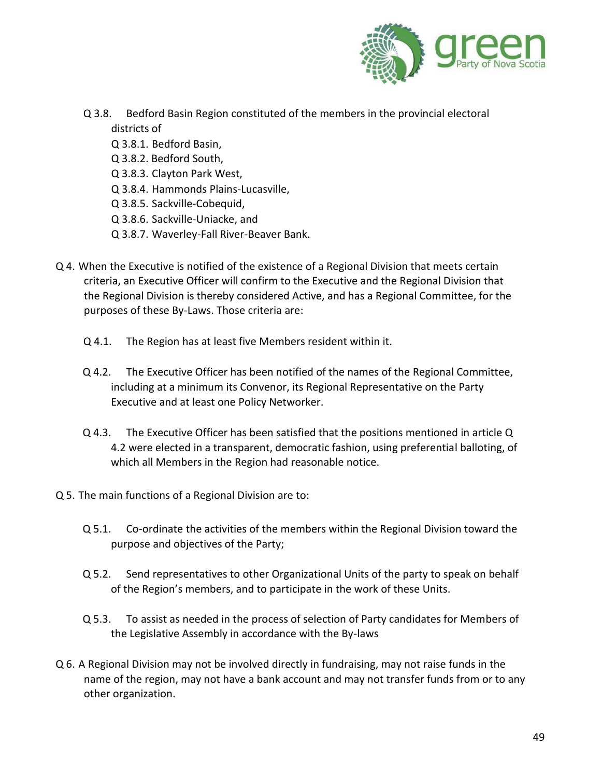

- Q 3.8. Bedford Basin Region constituted of the members in the provincial electoral districts of
	- Q 3.8.1. Bedford Basin,
	- Q 3.8.2. Bedford South,
	- Q 3.8.3. Clayton Park West,
	- Q 3.8.4. Hammonds Plains-Lucasville,
	- Q 3.8.5. Sackville-Cobequid,
	- Q 3.8.6. Sackville-Uniacke, and
	- Q 3.8.7. Waverley-Fall River-Beaver Bank.
- Q 4. When the Executive is notified of the existence of a Regional Division that meets certain criteria, an Executive Officer will confirm to the Executive and the Regional Division that the Regional Division is thereby considered Active, and has a Regional Committee, for the purposes of these By-Laws. Those criteria are:
	- Q 4.1. The Region has at least five Members resident within it.
	- Q 4.2. The Executive Officer has been notified of the names of the Regional Committee, including at a minimum its Convenor, its Regional Representative on the Party Executive and at least one Policy Networker.
	- Q 4.3. The Executive Officer has been satisfied that the positions mentioned in article Q 4.2 were elected in a transparent, democratic fashion, using preferential balloting, of which all Members in the Region had reasonable notice.
- Q 5. The main functions of a Regional Division are to:
	- Q 5.1. Co-ordinate the activities of the members within the Regional Division toward the purpose and objectives of the Party;
	- Q 5.2. Send representatives to other Organizational Units of the party to speak on behalf of the Region's members, and to participate in the work of these Units.
	- Q 5.3. To assist as needed in the process of selection of Party candidates for Members of the Legislative Assembly in accordance with the By-laws
- Q 6. A Regional Division may not be involved directly in fundraising, may not raise funds in the name of the region, may not have a bank account and may not transfer funds from or to any other organization.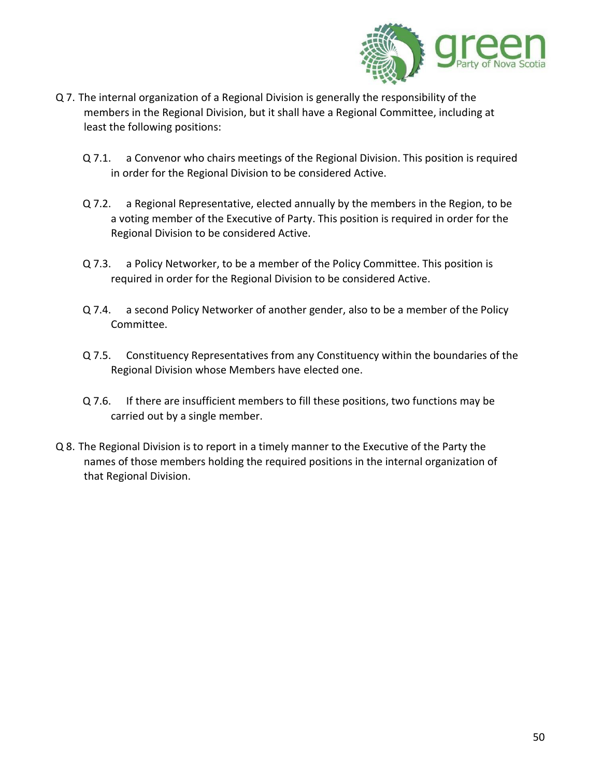

- Q 7. The internal organization of a Regional Division is generally the responsibility of the members in the Regional Division, but it shall have a Regional Committee, including at least the following positions:
	- Q 7.1. a Convenor who chairs meetings of the Regional Division. This position is required in order for the Regional Division to be considered Active.
	- Q 7.2. a Regional Representative, elected annually by the members in the Region, to be a voting member of the Executive of Party. This position is required in order for the Regional Division to be considered Active.
	- Q 7.3. a Policy Networker, to be a member of the Policy Committee. This position is required in order for the Regional Division to be considered Active.
	- Q 7.4. a second Policy Networker of another gender, also to be a member of the Policy Committee.
	- Q 7.5. Constituency Representatives from any Constituency within the boundaries of the Regional Division whose Members have elected one.
	- Q 7.6. If there are insufficient members to fill these positions, two functions may be carried out by a single member.
- Q 8. The Regional Division is to report in a timely manner to the Executive of the Party the names of those members holding the required positions in the internal organization of that Regional Division.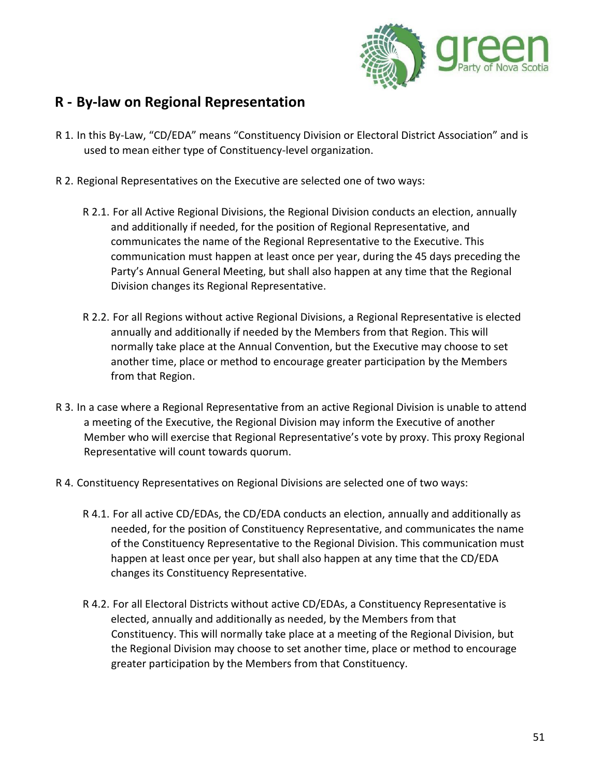

### <span id="page-50-0"></span>**R - By-law on Regional Representation**

- R 1. In this By-Law, "CD/EDA" means "Constituency Division or Electoral District Association" and is used to mean either type of Constituency-level organization.
- R 2. Regional Representatives on the Executive are selected one of two ways:
	- R 2.1. For all Active Regional Divisions, the Regional Division conducts an election, annually and additionally if needed, for the position of Regional Representative, and communicates the name of the Regional Representative to the Executive. This communication must happen at least once per year, during the 45 days preceding the Party's Annual General Meeting, but shall also happen at any time that the Regional Division changes its Regional Representative.
	- R 2.2. For all Regions without active Regional Divisions, a Regional Representative is elected annually and additionally if needed by the Members from that Region. This will normally take place at the Annual Convention, but the Executive may choose to set another time, place or method to encourage greater participation by the Members from that Region.
- R 3. In a case where a Regional Representative from an active Regional Division is unable to attend a meeting of the Executive, the Regional Division may inform the Executive of another Member who will exercise that Regional Representative's vote by proxy. This proxy Regional Representative will count towards quorum.
- R 4. Constituency Representatives on Regional Divisions are selected one of two ways:
	- R 4.1. For all active CD/EDAs, the CD/EDA conducts an election, annually and additionally as needed, for the position of Constituency Representative, and communicates the name of the Constituency Representative to the Regional Division. This communication must happen at least once per year, but shall also happen at any time that the CD/EDA changes its Constituency Representative.
	- R 4.2. For all Electoral Districts without active CD/EDAs, a Constituency Representative is elected, annually and additionally as needed, by the Members from that Constituency. This will normally take place at a meeting of the Regional Division, but the Regional Division may choose to set another time, place or method to encourage greater participation by the Members from that Constituency.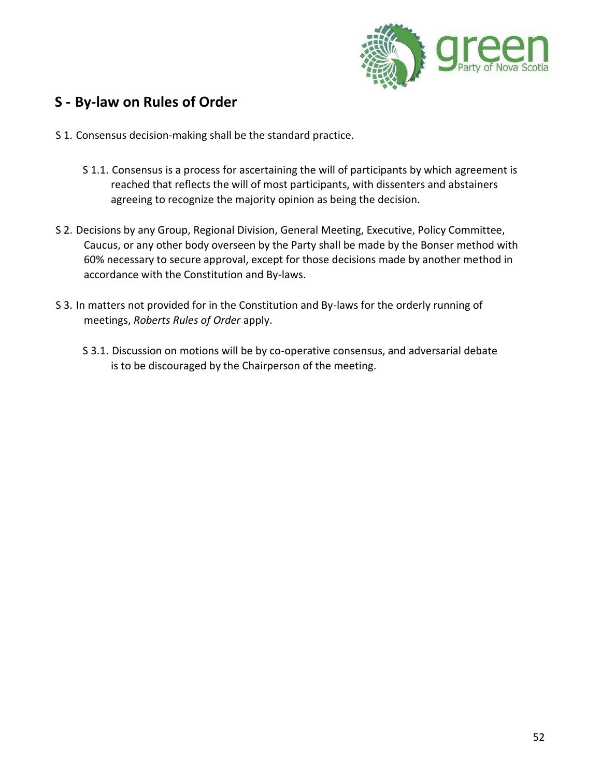

### <span id="page-51-0"></span>**S - By-law on Rules of Order**

- S 1. Consensus decision-making shall be the standard practice.
	- S 1.1. Consensus is a process for ascertaining the will of participants by which agreement is reached that reflects the will of most participants, with dissenters and abstainers agreeing to recognize the majority opinion as being the decision.
- S 2. Decisions by any Group, Regional Division, General Meeting, Executive, Policy Committee, Caucus, or any other body overseen by the Party shall be made by the Bonser method with 60% necessary to secure approval, except for those decisions made by another method in accordance with the Constitution and By-laws.
- S 3. In matters not provided for in the Constitution and By-laws for the orderly running of meetings, *Roberts Rules of Order* apply.
	- S 3.1. Discussion on motions will be by co-operative consensus, and adversarial debate is to be discouraged by the Chairperson of the meeting.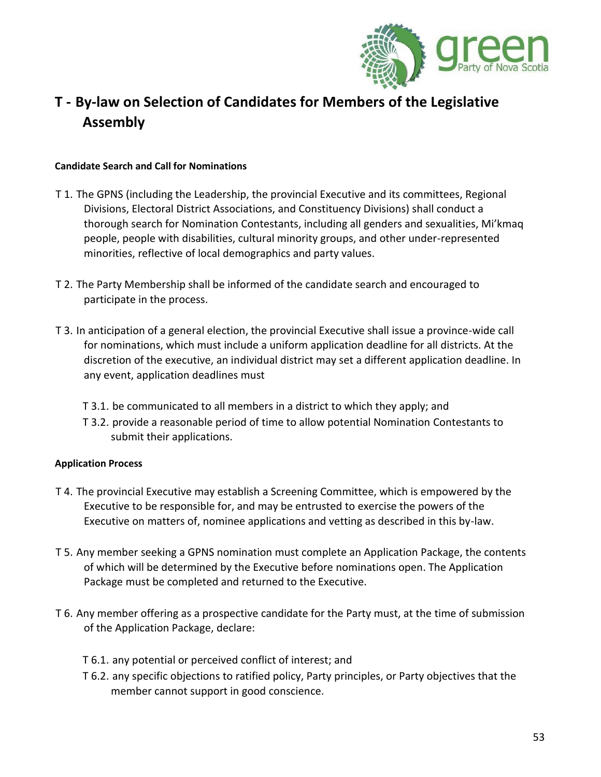

### <span id="page-52-0"></span>**T - By-law on Selection of Candidates for Members of the Legislative Assembly**

#### **Candidate Search and Call for Nominations**

- T 1. The GPNS (including the Leadership, the provincial Executive and its committees, Regional Divisions, Electoral District Associations, and Constituency Divisions) shall conduct a thorough search for Nomination Contestants, including all genders and sexualities, Mi'kmaq people, people with disabilities, cultural minority groups, and other under-represented minorities, reflective of local demographics and party values.
- T 2. The Party Membership shall be informed of the candidate search and encouraged to participate in the process.
- T 3. In anticipation of a general election, the provincial Executive shall issue a province-wide call for nominations, which must include a uniform application deadline for all districts. At the discretion of the executive, an individual district may set a different application deadline. In any event, application deadlines must
	- T 3.1. be communicated to all members in a district to which they apply; and
	- T 3.2. provide a reasonable period of time to allow potential Nomination Contestants to submit their applications.

#### **Application Process**

- T 4. The provincial Executive may establish a Screening Committee, which is empowered by the Executive to be responsible for, and may be entrusted to exercise the powers of the Executive on matters of, nominee applications and vetting as described in this by-law.
- T 5. Any member seeking a GPNS nomination must complete an Application Package, the contents of which will be determined by the Executive before nominations open. The Application Package must be completed and returned to the Executive.
- T 6. Any member offering as a prospective candidate for the Party must, at the time of submission of the Application Package, declare:
	- T 6.1. any potential or perceived conflict of interest; and
	- T 6.2. any specific objections to ratified policy, Party principles, or Party objectives that the member cannot support in good conscience.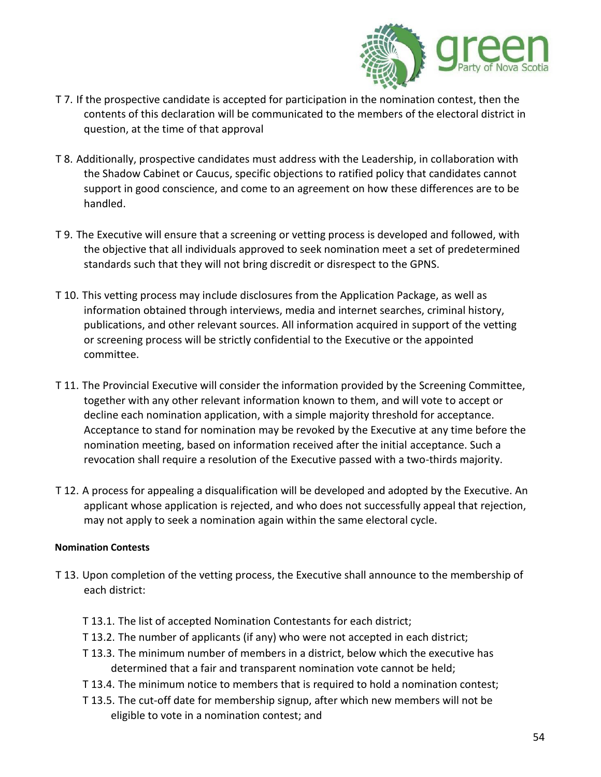

- T 7. If the prospective candidate is accepted for participation in the nomination contest, then the contents of this declaration will be communicated to the members of the electoral district in question, at the time of that approval
- T 8. Additionally, prospective candidates must address with the Leadership, in collaboration with the Shadow Cabinet or Caucus, specific objections to ratified policy that candidates cannot support in good conscience, and come to an agreement on how these differences are to be handled.
- T 9. The Executive will ensure that a screening or vetting process is developed and followed, with the objective that all individuals approved to seek nomination meet a set of predetermined standards such that they will not bring discredit or disrespect to the GPNS.
- T 10. This vetting process may include disclosures from the Application Package, as well as information obtained through interviews, media and internet searches, criminal history, publications, and other relevant sources. All information acquired in support of the vetting or screening process will be strictly confidential to the Executive or the appointed committee.
- T 11. The Provincial Executive will consider the information provided by the Screening Committee, together with any other relevant information known to them, and will vote to accept or decline each nomination application, with a simple majority threshold for acceptance. Acceptance to stand for nomination may be revoked by the Executive at any time before the nomination meeting, based on information received after the initial acceptance. Such a revocation shall require a resolution of the Executive passed with a two-thirds majority.
- T 12. A process for appealing a disqualification will be developed and adopted by the Executive. An applicant whose application is rejected, and who does not successfully appeal that rejection, may not apply to seek a nomination again within the same electoral cycle.

#### **Nomination Contests**

- T 13. Upon completion of the vetting process, the Executive shall announce to the membership of each district:
	- T 13.1. The list of accepted Nomination Contestants for each district;
	- T 13.2. The number of applicants (if any) who were not accepted in each district;
	- T 13.3. The minimum number of members in a district, below which the executive has determined that a fair and transparent nomination vote cannot be held;
	- T 13.4. The minimum notice to members that is required to hold a nomination contest;
	- T 13.5. The cut-off date for membership signup, after which new members will not be eligible to vote in a nomination contest; and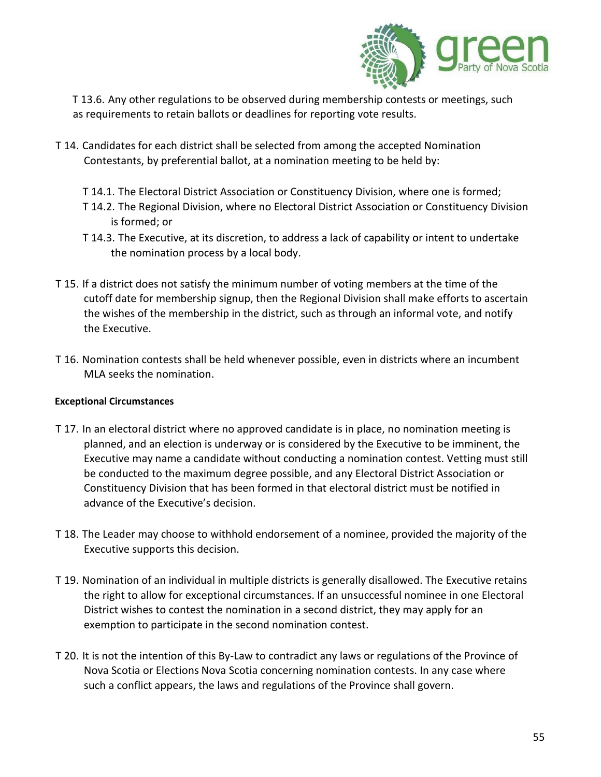

T 13.6. Any other regulations to be observed during membership contests or meetings, such as requirements to retain ballots or deadlines for reporting vote results.

- T 14. Candidates for each district shall be selected from among the accepted Nomination Contestants, by preferential ballot, at a nomination meeting to be held by:
	- T 14.1. The Electoral District Association or Constituency Division, where one is formed;
	- T 14.2. The Regional Division, where no Electoral District Association or Constituency Division is formed; or
	- T 14.3. The Executive, at its discretion, to address a lack of capability or intent to undertake the nomination process by a local body.
- T 15. If a district does not satisfy the minimum number of voting members at the time of the cutoff date for membership signup, then the Regional Division shall make efforts to ascertain the wishes of the membership in the district, such as through an informal vote, and notify the Executive.
- T 16. Nomination contests shall be held whenever possible, even in districts where an incumbent MLA seeks the nomination.

#### **Exceptional Circumstances**

- T 17. In an electoral district where no approved candidate is in place, no nomination meeting is planned, and an election is underway or is considered by the Executive to be imminent, the Executive may name a candidate without conducting a nomination contest. Vetting must still be conducted to the maximum degree possible, and any Electoral District Association or Constituency Division that has been formed in that electoral district must be notified in advance of the Executive's decision.
- T 18. The Leader may choose to withhold endorsement of a nominee, provided the majority of the Executive supports this decision.
- T 19. Nomination of an individual in multiple districts is generally disallowed. The Executive retains the right to allow for exceptional circumstances. If an unsuccessful nominee in one Electoral District wishes to contest the nomination in a second district, they may apply for an exemption to participate in the second nomination contest.
- T 20. It is not the intention of this By-Law to contradict any laws or regulations of the Province of Nova Scotia or Elections Nova Scotia concerning nomination contests. In any case where such a conflict appears, the laws and regulations of the Province shall govern.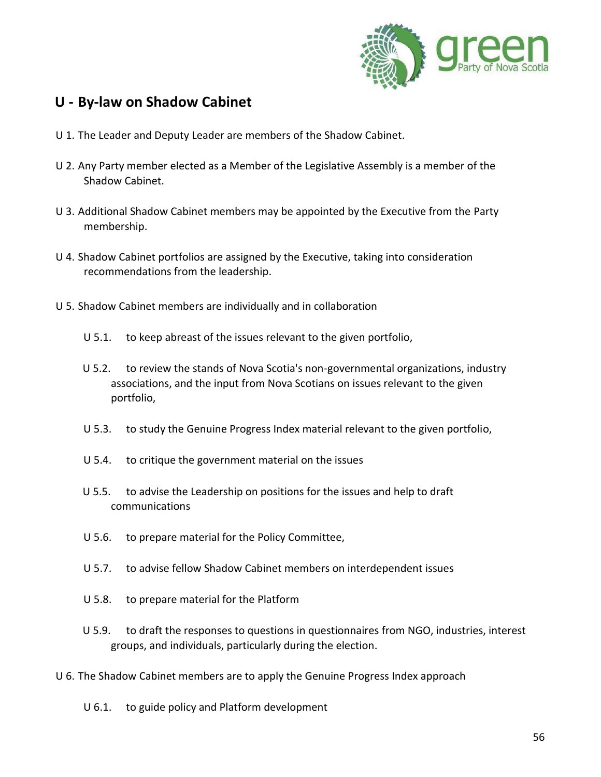

### <span id="page-55-0"></span>**U - By-law on Shadow Cabinet**

- U 1. The Leader and Deputy Leader are members of the Shadow Cabinet.
- U 2. Any Party member elected as a Member of the Legislative Assembly is a member of the Shadow Cabinet.
- U 3. Additional Shadow Cabinet members may be appointed by the Executive from the Party membership.
- U 4. Shadow Cabinet portfolios are assigned by the Executive, taking into consideration recommendations from the leadership.
- U 5. Shadow Cabinet members are individually and in collaboration
	- U 5.1. to keep abreast of the issues relevant to the given portfolio,
	- U 5.2. to review the stands of Nova Scotia's non-governmental organizations, industry associations, and the input from Nova Scotians on issues relevant to the given portfolio,
	- U 5.3. to study the Genuine Progress Index material relevant to the given portfolio,
	- U 5.4. to critique the government material on the issues
	- U 5.5. to advise the Leadership on positions for the issues and help to draft communications
	- U 5.6. to prepare material for the Policy Committee,
	- U 5.7. to advise fellow Shadow Cabinet members on interdependent issues
	- U 5.8. to prepare material for the Platform
	- U 5.9. to draft the responses to questions in questionnaires from NGO, industries, interest groups, and individuals, particularly during the election.
- U 6. The Shadow Cabinet members are to apply the Genuine Progress Index approach
	- U 6.1. to guide policy and Platform development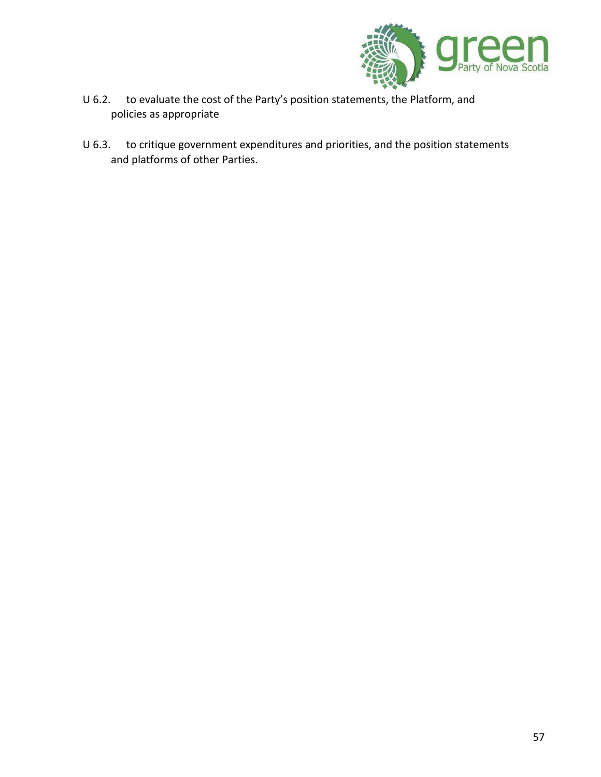

- U 6.2. to evaluate the cost of the Party's position statements, the Platform, and policies as appropriate
- U 6.3. to critique government expenditures and priorities, and the position statements and platforms of other Parties.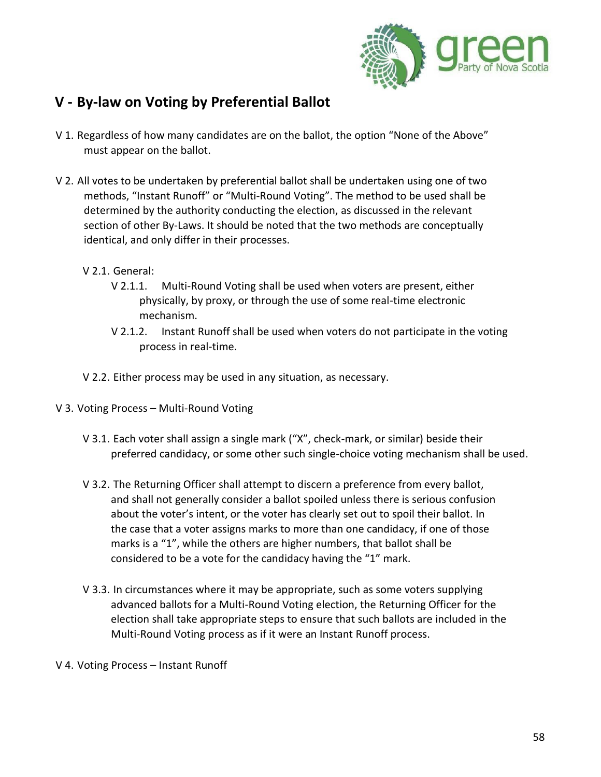

### <span id="page-57-0"></span>**V - By-law on Voting by Preferential Ballot**

- V 1. Regardless of how many candidates are on the ballot, the option "None of the Above" must appear on the ballot.
- V 2. All votes to be undertaken by preferential ballot shall be undertaken using one of two methods, "Instant Runoff" or "Multi-Round Voting". The method to be used shall be determined by the authority conducting the election, as discussed in the relevant section of other By-Laws. It should be noted that the two methods are conceptually identical, and only differ in their processes.
	- V 2.1. General:
		- V 2.1.1. Multi-Round Voting shall be used when voters are present, either physically, by proxy, or through the use of some real-time electronic mechanism.
		- V 2.1.2. Instant Runoff shall be used when voters do not participate in the voting process in real-time.
	- V 2.2. Either process may be used in any situation, as necessary.
- V 3. Voting Process Multi-Round Voting
	- V 3.1. Each voter shall assign a single mark ("X", check-mark, or similar) beside their preferred candidacy, or some other such single-choice voting mechanism shall be used.
	- V 3.2. The Returning Officer shall attempt to discern a preference from every ballot, and shall not generally consider a ballot spoiled unless there is serious confusion about the voter's intent, or the voter has clearly set out to spoil their ballot. In the case that a voter assigns marks to more than one candidacy, if one of those marks is a "1", while the others are higher numbers, that ballot shall be considered to be a vote for the candidacy having the "1" mark.
	- V 3.3. In circumstances where it may be appropriate, such as some voters supplying advanced ballots for a Multi-Round Voting election, the Returning Officer for the election shall take appropriate steps to ensure that such ballots are included in the Multi-Round Voting process as if it were an Instant Runoff process.
- V 4. Voting Process Instant Runoff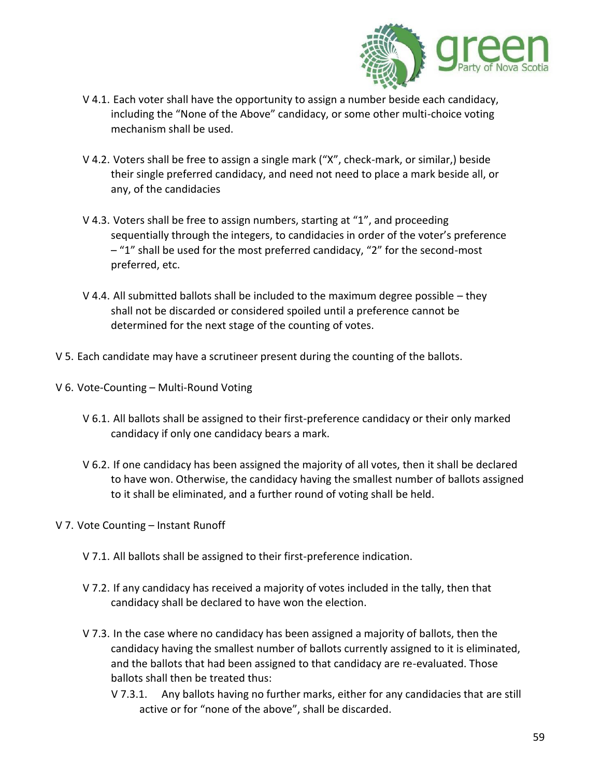

- V 4.1. Each voter shall have the opportunity to assign a number beside each candidacy, including the "None of the Above" candidacy, or some other multi-choice voting mechanism shall be used.
- V 4.2. Voters shall be free to assign a single mark ("X", check-mark, or similar,) beside their single preferred candidacy, and need not need to place a mark beside all, or any, of the candidacies
- V 4.3. Voters shall be free to assign numbers, starting at "1", and proceeding sequentially through the integers, to candidacies in order of the voter's preference – "1" shall be used for the most preferred candidacy, "2" for the second-most preferred, etc.
- V 4.4. All submitted ballots shall be included to the maximum degree possible they shall not be discarded or considered spoiled until a preference cannot be determined for the next stage of the counting of votes.
- V 5. Each candidate may have a scrutineer present during the counting of the ballots.
- V 6. Vote-Counting Multi-Round Voting
	- V 6.1. All ballots shall be assigned to their first-preference candidacy or their only marked candidacy if only one candidacy bears a mark.
	- V 6.2. If one candidacy has been assigned the majority of all votes, then it shall be declared to have won. Otherwise, the candidacy having the smallest number of ballots assigned to it shall be eliminated, and a further round of voting shall be held.
- V 7. Vote Counting Instant Runoff
	- V 7.1. All ballots shall be assigned to their first-preference indication.
	- V 7.2. If any candidacy has received a majority of votes included in the tally, then that candidacy shall be declared to have won the election.
	- V 7.3. In the case where no candidacy has been assigned a majority of ballots, then the candidacy having the smallest number of ballots currently assigned to it is eliminated, and the ballots that had been assigned to that candidacy are re-evaluated. Those ballots shall then be treated thus:
		- V 7.3.1. Any ballots having no further marks, either for any candidacies that are still active or for "none of the above", shall be discarded.